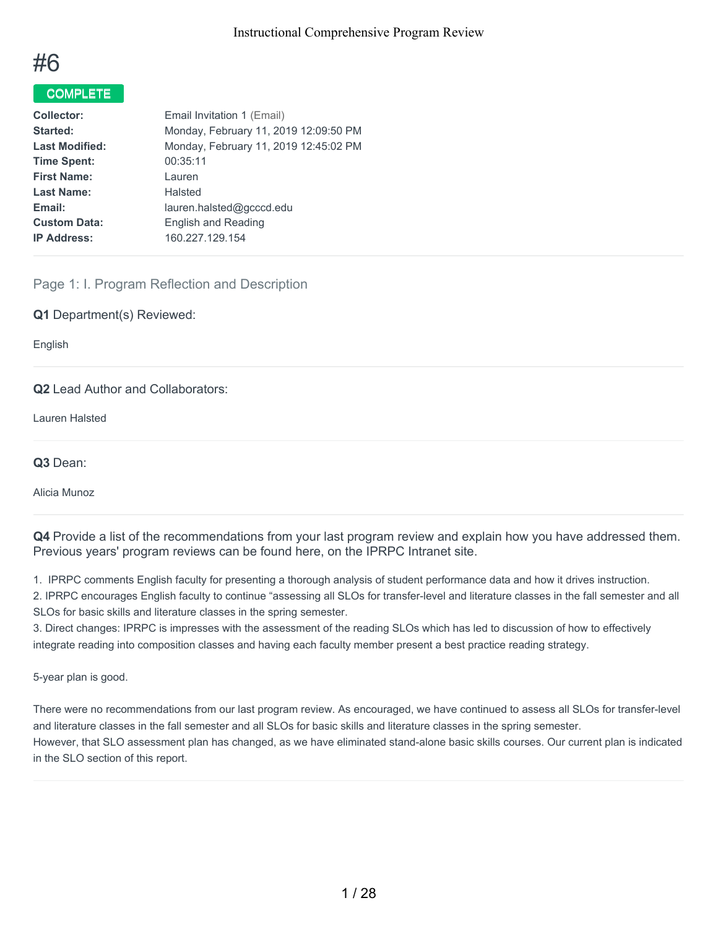

# COMPLETE

| <b>Collector:</b>     | Email Invitation 1 (Email)            |
|-----------------------|---------------------------------------|
| Started:              | Monday, February 11, 2019 12:09:50 PM |
| <b>Last Modified:</b> | Monday, February 11, 2019 12:45:02 PM |
| <b>Time Spent:</b>    | 00:35:11                              |
| <b>First Name:</b>    | Lauren                                |
| <b>Last Name:</b>     | Halsted                               |
| Email:                | lauren.halsted@gcccd.edu              |
| <b>Custom Data:</b>   | English and Reading                   |
| <b>IP Address:</b>    | 160.227.129.154                       |
|                       |                                       |

# Page 1: I. Program Reflection and Description

#### **Q1** Department(s) Reviewed:

English

## **Q2** Lead Author and Collaborators:

Lauren Halsted

#### **Q3** Dean:

Alicia Munoz

**Q4** Provide a list of the recommendations from your last program review and explain how you have addressed them. Previous years' program reviews can be found here, on the IPRPC Intranet site.

1. IPRPC comments English faculty for presenting a thorough analysis of student performance data and how it drives instruction.

2. IPRPC encourages English faculty to continue "assessing all SLOs for transfer-level and literature classes in the fall semester and all SLOs for basic skills and literature classes in the spring semester.

3. Direct changes: IPRPC is impresses with the assessment of the reading SLOs which has led to discussion of how to effectively integrate reading into composition classes and having each faculty member present a best practice reading strategy.

5-year plan is good.

There were no recommendations from our last program review. As encouraged, we have continued to assess all SLOs for transfer-level and literature classes in the fall semester and all SLOs for basic skills and literature classes in the spring semester. However, that SLO assessment plan has changed, as we have eliminated stand-alone basic skills courses. Our current plan is indicated in the SLO section of this report.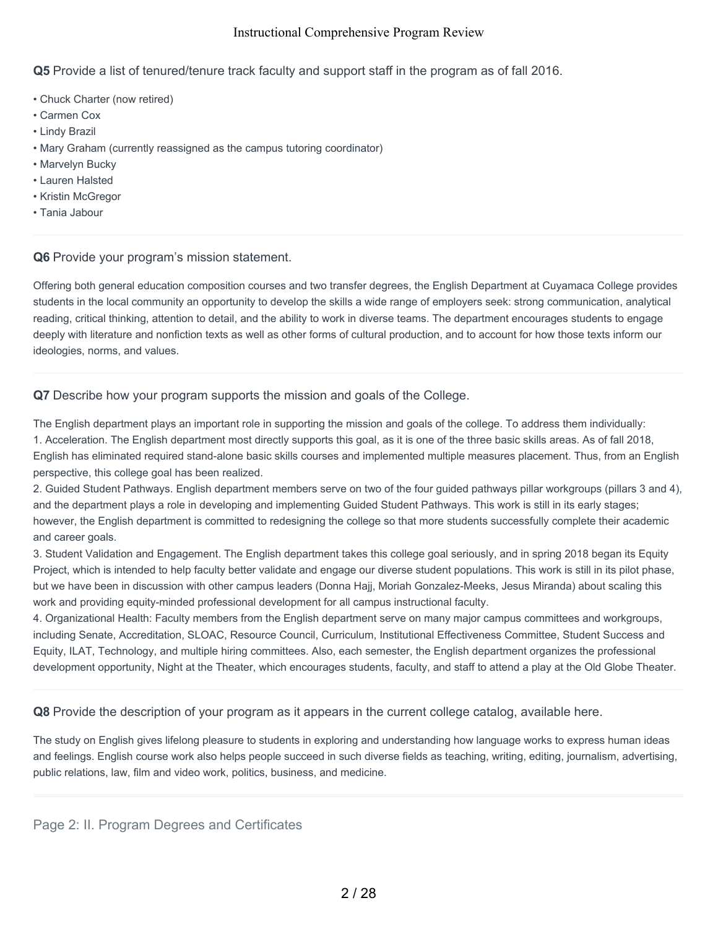**Q5** Provide a list of tenured/tenure track faculty and support staff in the program as of fall 2016.

- Chuck Charter (now retired)
- Carmen Cox
- Lindy Brazil
- Mary Graham (currently reassigned as the campus tutoring coordinator)
- Marvelyn Bucky
- Lauren Halsted
- Kristin McGregor
- Tania Jabour

#### **Q6** Provide your program's mission statement.

Offering both general education composition courses and two transfer degrees, the English Department at Cuyamaca College provides students in the local community an opportunity to develop the skills a wide range of employers seek: strong communication, analytical reading, critical thinking, attention to detail, and the ability to work in diverse teams. The department encourages students to engage deeply with literature and nonfiction texts as well as other forms of cultural production, and to account for how those texts inform our ideologies, norms, and values.

**Q7** Describe how your program supports the mission and goals of the College.

The English department plays an important role in supporting the mission and goals of the college. To address them individually:

1. Acceleration. The English department most directly supports this goal, as it is one of the three basic skills areas. As of fall 2018, English has eliminated required stand-alone basic skills courses and implemented multiple measures placement. Thus, from an English perspective, this college goal has been realized.

2. Guided Student Pathways. English department members serve on two of the four guided pathways pillar workgroups (pillars 3 and 4), and the department plays a role in developing and implementing Guided Student Pathways. This work is still in its early stages; however, the English department is committed to redesigning the college so that more students successfully complete their academic and career goals.

3. Student Validation and Engagement. The English department takes this college goal seriously, and in spring 2018 began its Equity Project, which is intended to help faculty better validate and engage our diverse student populations. This work is still in its pilot phase, but we have been in discussion with other campus leaders (Donna Hajj, Moriah Gonzalez-Meeks, Jesus Miranda) about scaling this work and providing equity-minded professional development for all campus instructional faculty.

4. Organizational Health: Faculty members from the English department serve on many major campus committees and workgroups, including Senate, Accreditation, SLOAC, Resource Council, Curriculum, Institutional Effectiveness Committee, Student Success and Equity, ILAT, Technology, and multiple hiring committees. Also, each semester, the English department organizes the professional development opportunity, Night at the Theater, which encourages students, faculty, and staff to attend a play at the Old Globe Theater.

**Q8** Provide the description of your program as it appears in the current college catalog, available here.

The study on English gives lifelong pleasure to students in exploring and understanding how language works to express human ideas and feelings. English course work also helps people succeed in such diverse fields as teaching, writing, editing, journalism, advertising, public relations, law, film and video work, politics, business, and medicine.

Page 2: II. Program Degrees and Certificates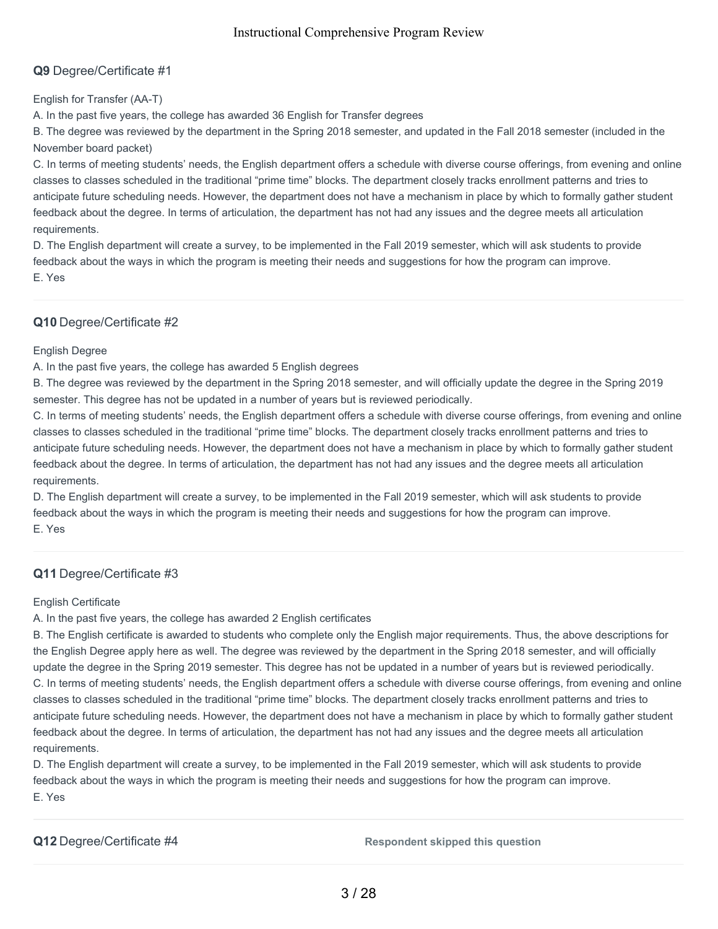# **Q9** Degree/Certificate #1

English for Transfer (AA-T)

A. In the past five years, the college has awarded 36 English for Transfer degrees

B. The degree was reviewed by the department in the Spring 2018 semester, and updated in the Fall 2018 semester (included in the November board packet)

C. In terms of meeting students' needs, the English department offers a schedule with diverse course offerings, from evening and online classes to classes scheduled in the traditional "prime time" blocks. The department closely tracks enrollment patterns and tries to anticipate future scheduling needs. However, the department does not have a mechanism in place by which to formally gather student feedback about the degree. In terms of articulation, the department has not had any issues and the degree meets all articulation requirements.

D. The English department will create a survey, to be implemented in the Fall 2019 semester, which will ask students to provide feedback about the ways in which the program is meeting their needs and suggestions for how the program can improve. E. Yes

# **Q10** Degree/Certificate #2

English Degree

A. In the past five years, the college has awarded 5 English degrees

B. The degree was reviewed by the department in the Spring 2018 semester, and will officially update the degree in the Spring 2019 semester. This degree has not be updated in a number of years but is reviewed periodically.

C. In terms of meeting students' needs, the English department offers a schedule with diverse course offerings, from evening and online classes to classes scheduled in the traditional "prime time" blocks. The department closely tracks enrollment patterns and tries to anticipate future scheduling needs. However, the department does not have a mechanism in place by which to formally gather student feedback about the degree. In terms of articulation, the department has not had any issues and the degree meets all articulation requirements.

D. The English department will create a survey, to be implemented in the Fall 2019 semester, which will ask students to provide feedback about the ways in which the program is meeting their needs and suggestions for how the program can improve. E. Yes

# **Q11** Degree/Certificate #3

English Certificate

A. In the past five years, the college has awarded 2 English certificates

B. The English certificate is awarded to students who complete only the English major requirements. Thus, the above descriptions for the English Degree apply here as well. The degree was reviewed by the department in the Spring 2018 semester, and will officially update the degree in the Spring 2019 semester. This degree has not be updated in a number of years but is reviewed periodically. C. In terms of meeting students' needs, the English department offers a schedule with diverse course offerings, from evening and online classes to classes scheduled in the traditional "prime time" blocks. The department closely tracks enrollment patterns and tries to anticipate future scheduling needs. However, the department does not have a mechanism in place by which to formally gather student feedback about the degree. In terms of articulation, the department has not had any issues and the degree meets all articulation requirements.

D. The English department will create a survey, to be implemented in the Fall 2019 semester, which will ask students to provide feedback about the ways in which the program is meeting their needs and suggestions for how the program can improve. E. Yes

**Q12** Degree/Certificate #4 **Respondent skipped this question**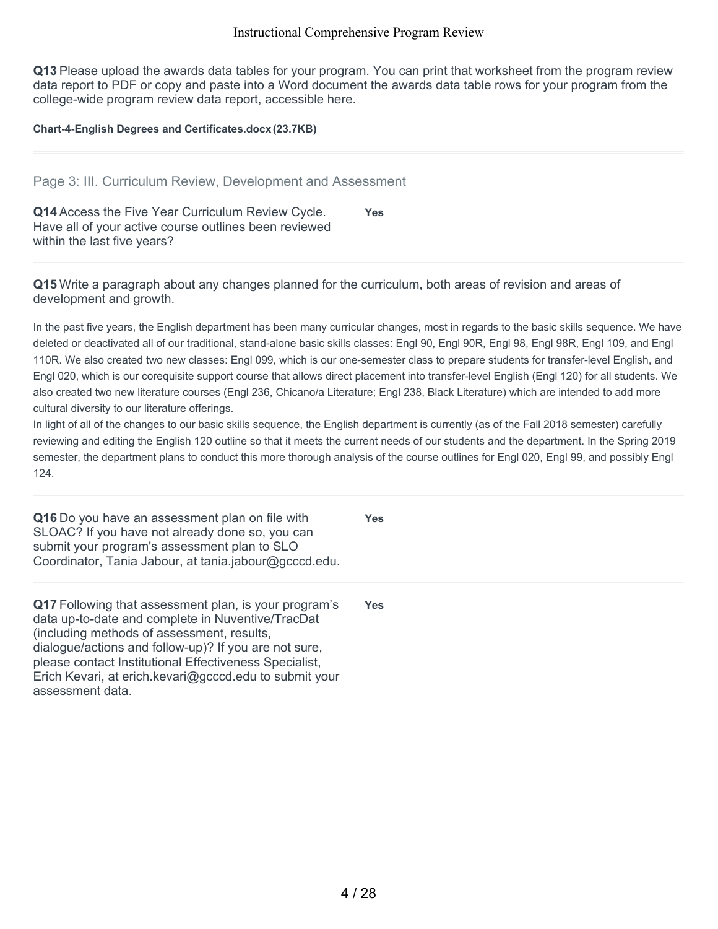**Q13** Please upload the awards data tables for your program. You can print that worksheet from the program review data report to PDF or copy and paste into a Word document the awards data table rows for your program from the college-wide program review data report, accessible here.

#### **Chart-4-English Degrees and Certificates.docx(23.7KB)**

#### Page 3: III. Curriculum Review, Development and Assessment

**Q14** Access the Five Year Curriculum Review Cycle. Have all of your active course outlines been reviewed within the last five years? **Yes**

**Q15** Write a paragraph about any changes planned for the curriculum, both areas of revision and areas of development and growth.

In the past five years, the English department has been many curricular changes, most in regards to the basic skills sequence. We have deleted or deactivated all of our traditional, stand-alone basic skills classes: Engl 90, Engl 90R, Engl 98, Engl 98R, Engl 109, and Engl 110R. We also created two new classes: Engl 099, which is our one-semester class to prepare students for transfer-level English, and Engl 020, which is our corequisite support course that allows direct placement into transfer-level English (Engl 120) for all students. We also created two new literature courses (Engl 236, Chicano/a Literature; Engl 238, Black Literature) which are intended to add more cultural diversity to our literature offerings.

In light of all of the changes to our basic skills sequence, the English department is currently (as of the Fall 2018 semester) carefully reviewing and editing the English 120 outline so that it meets the current needs of our students and the department. In the Spring 2019 semester, the department plans to conduct this more thorough analysis of the course outlines for Engl 020, Engl 99, and possibly Engl 124.

**Yes**

**Yes**

**Q16** Do you have an assessment plan on file with SLOAC? If you have not already done so, you can submit your program's assessment plan to SLO Coordinator, Tania Jabour, at tania.jabour@gcccd.edu.

**Q17** Following that assessment plan, is your program's data up-to-date and complete in Nuventive/TracDat (including methods of assessment, results, dialogue/actions and follow-up)? If you are not sure, please contact Institutional Effectiveness Specialist, Erich Kevari, at erich.kevari@gcccd.edu to submit your assessment data.

4 / 28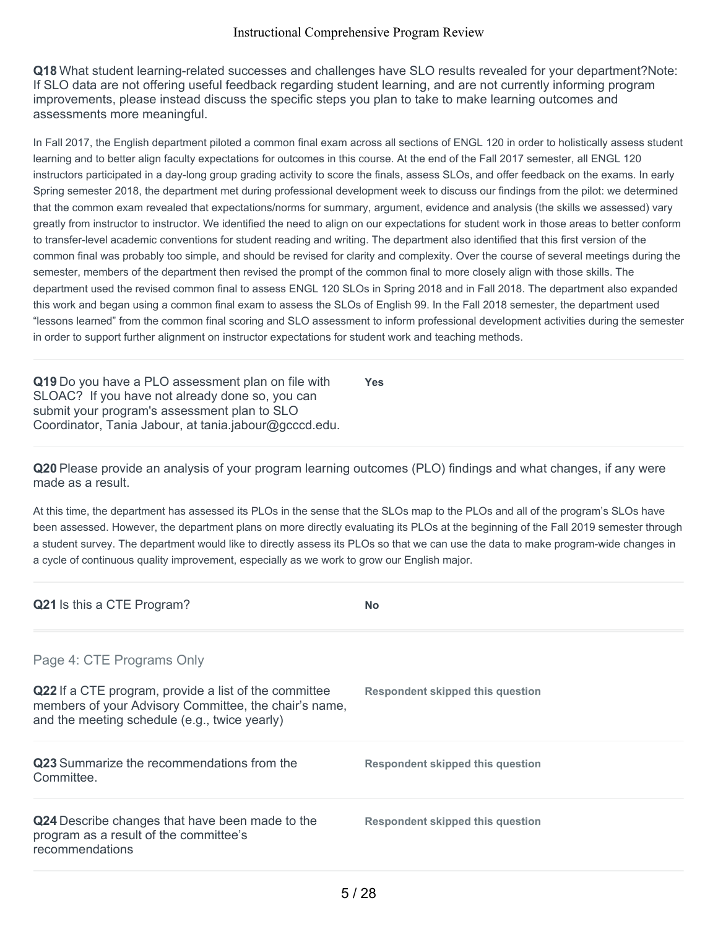**Q18** What student learning-related successes and challenges have SLO results revealed for your department?Note: If SLO data are not offering useful feedback regarding student learning, and are not currently informing program improvements, please instead discuss the specific steps you plan to take to make learning outcomes and assessments more meaningful.

In Fall 2017, the English department piloted a common final exam across all sections of ENGL 120 in order to holistically assess student learning and to better align faculty expectations for outcomes in this course. At the end of the Fall 2017 semester, all ENGL 120 instructors participated in a day-long group grading activity to score the finals, assess SLOs, and offer feedback on the exams. In early Spring semester 2018, the department met during professional development week to discuss our findings from the pilot: we determined that the common exam revealed that expectations/norms for summary, argument, evidence and analysis (the skills we assessed) vary greatly from instructor to instructor. We identified the need to align on our expectations for student work in those areas to better conform to transfer-level academic conventions for student reading and writing. The department also identified that this first version of the common final was probably too simple, and should be revised for clarity and complexity. Over the course of several meetings during the semester, members of the department then revised the prompt of the common final to more closely align with those skills. The department used the revised common final to assess ENGL 120 SLOs in Spring 2018 and in Fall 2018. The department also expanded this work and began using a common final exam to assess the SLOs of English 99. In the Fall 2018 semester, the department used "lessons learned" from the common final scoring and SLO assessment to inform professional development activities during the semester in order to support further alignment on instructor expectations for student work and teaching methods.

**Q19** Do you have a PLO assessment plan on file with SLOAC? If you have not already done so, you can submit your program's assessment plan to SLO Coordinator, Tania Jabour, at tania.jabour@gcccd.edu. **Yes**

**Q20** Please provide an analysis of your program learning outcomes (PLO) findings and what changes, if any were made as a result.

At this time, the department has assessed its PLOs in the sense that the SLOs map to the PLOs and all of the program's SLOs have been assessed. However, the department plans on more directly evaluating its PLOs at the beginning of the Fall 2019 semester through a student survey. The department would like to directly assess its PLOs so that we can use the data to make program-wide changes in a cycle of continuous quality improvement, especially as we work to grow our English major.

| <b>Q21</b> Is this a CTE Program?                                                                                                                               | <b>No</b>                               |
|-----------------------------------------------------------------------------------------------------------------------------------------------------------------|-----------------------------------------|
| Page 4: CTE Programs Only                                                                                                                                       |                                         |
| Q22 If a CTE program, provide a list of the committee<br>members of your Advisory Committee, the chair's name,<br>and the meeting schedule (e.g., twice yearly) | <b>Respondent skipped this question</b> |
| <b>Q23</b> Summarize the recommendations from the<br>Committee.                                                                                                 | Respondent skipped this question        |
| Q24 Describe changes that have been made to the<br>program as a result of the committee's<br>recommendations                                                    | Respondent skipped this question        |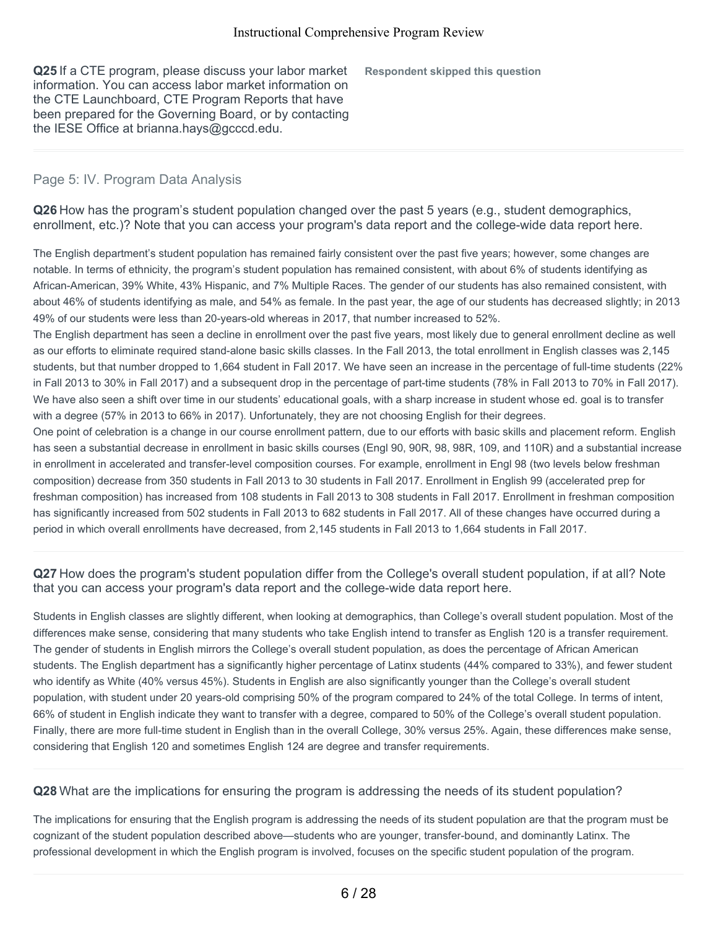**Q25** If a CTE program, please discuss your labor market information. You can access labor market information on the CTE Launchboard, CTE Program Reports that have been prepared for the Governing Board, or by contacting the IESE Office at brianna.hays@gcccd.edu.

**Respondent skipped this question**

#### Page 5: IV. Program Data Analysis

**Q26** How has the program's student population changed over the past 5 years (e.g., student demographics, enrollment, etc.)? Note that you can access your program's data report and the college-wide data report here.

The English department's student population has remained fairly consistent over the past five years; however, some changes are notable. In terms of ethnicity, the program's student population has remained consistent, with about 6% of students identifying as African-American, 39% White, 43% Hispanic, and 7% Multiple Races. The gender of our students has also remained consistent, with about 46% of students identifying as male, and 54% as female. In the past year, the age of our students has decreased slightly; in 2013 49% of our students were less than 20-years-old whereas in 2017, that number increased to 52%.

The English department has seen a decline in enrollment over the past five years, most likely due to general enrollment decline as well as our efforts to eliminate required stand-alone basic skills classes. In the Fall 2013, the total enrollment in English classes was 2,145 students, but that number dropped to 1,664 student in Fall 2017. We have seen an increase in the percentage of full-time students (22% in Fall 2013 to 30% in Fall 2017) and a subsequent drop in the percentage of part-time students (78% in Fall 2013 to 70% in Fall 2017). We have also seen a shift over time in our students' educational goals, with a sharp increase in student whose ed. goal is to transfer with a degree (57% in 2013 to 66% in 2017). Unfortunately, they are not choosing English for their degrees.

One point of celebration is a change in our course enrollment pattern, due to our efforts with basic skills and placement reform. English has seen a substantial decrease in enrollment in basic skills courses (Engl 90, 90R, 98, 98R, 109, and 110R) and a substantial increase in enrollment in accelerated and transfer-level composition courses. For example, enrollment in Engl 98 (two levels below freshman composition) decrease from 350 students in Fall 2013 to 30 students in Fall 2017. Enrollment in English 99 (accelerated prep for freshman composition) has increased from 108 students in Fall 2013 to 308 students in Fall 2017. Enrollment in freshman composition has significantly increased from 502 students in Fall 2013 to 682 students in Fall 2017. All of these changes have occurred during a period in which overall enrollments have decreased, from 2,145 students in Fall 2013 to 1,664 students in Fall 2017.

**Q27** How does the program's student population differ from the College's overall student population, if at all? Note that you can access your program's data report and the college-wide data report here.

Students in English classes are slightly different, when looking at demographics, than College's overall student population. Most of the differences make sense, considering that many students who take English intend to transfer as English 120 is a transfer requirement. The gender of students in English mirrors the College's overall student population, as does the percentage of African American students. The English department has a significantly higher percentage of Latinx students (44% compared to 33%), and fewer student who identify as White (40% versus 45%). Students in English are also significantly younger than the College's overall student population, with student under 20 years-old comprising 50% of the program compared to 24% of the total College. In terms of intent, 66% of student in English indicate they want to transfer with a degree, compared to 50% of the College's overall student population. Finally, there are more full-time student in English than in the overall College, 30% versus 25%. Again, these differences make sense, considering that English 120 and sometimes English 124 are degree and transfer requirements.

**Q28** What are the implications for ensuring the program is addressing the needs of its student population?

The implications for ensuring that the English program is addressing the needs of its student population are that the program must be cognizant of the student population described above—students who are younger, transfer-bound, and dominantly Latinx. The professional development in which the English program is involved, focuses on the specific student population of the program.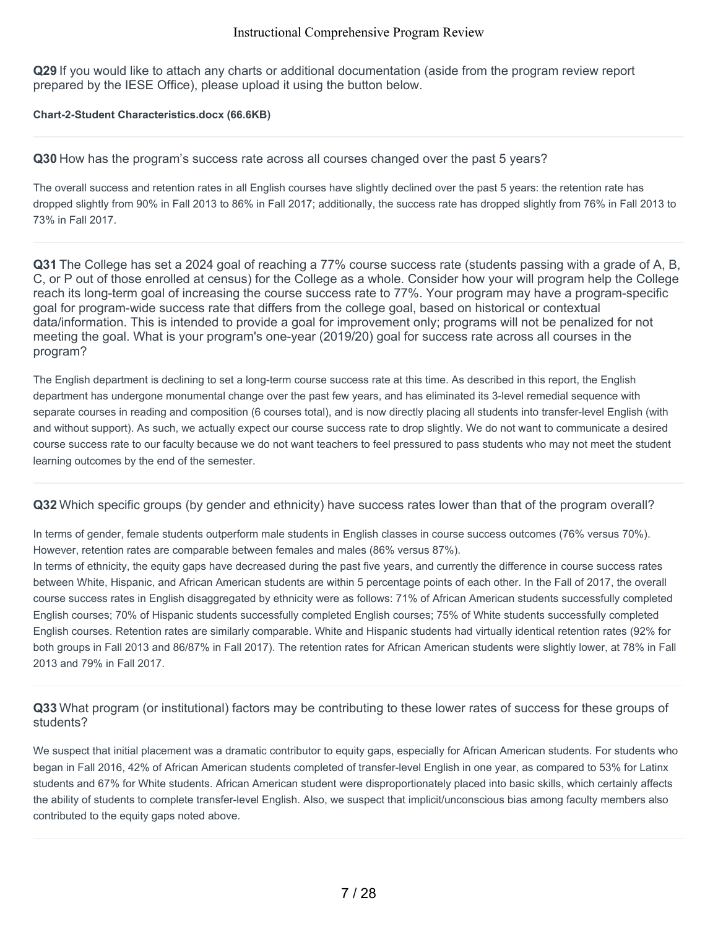**Q29** If you would like to attach any charts or additional documentation (aside from the program review report prepared by the IESE Office), please upload it using the button below.

#### **Chart-2-Student Characteristics.docx (66.6KB)**

#### **Q30** How has the program's success rate across all courses changed over the past 5 years?

The overall success and retention rates in all English courses have slightly declined over the past 5 years: the retention rate has dropped slightly from 90% in Fall 2013 to 86% in Fall 2017; additionally, the success rate has dropped slightly from 76% in Fall 2013 to 73% in Fall 2017.

**Q31** The College has set a 2024 goal of reaching a 77% course success rate (students passing with a grade of A, B, C, or P out of those enrolled at census) for the College as a whole. Consider how your will program help the College reach its long-term goal of increasing the course success rate to 77%. Your program may have a program-specific goal for program-wide success rate that differs from the college goal, based on historical or contextual data/information. This is intended to provide a goal for improvement only; programs will not be penalized for not meeting the goal. What is your program's one-year (2019/20) goal for success rate across all courses in the program?

The English department is declining to set a long-term course success rate at this time. As described in this report, the English department has undergone monumental change over the past few years, and has eliminated its 3-level remedial sequence with separate courses in reading and composition (6 courses total), and is now directly placing all students into transfer-level English (with and without support). As such, we actually expect our course success rate to drop slightly. We do not want to communicate a desired course success rate to our faculty because we do not want teachers to feel pressured to pass students who may not meet the student learning outcomes by the end of the semester.

#### **Q32** Which specific groups (by gender and ethnicity) have success rates lower than that of the program overall?

In terms of gender, female students outperform male students in English classes in course success outcomes (76% versus 70%). However, retention rates are comparable between females and males (86% versus 87%).

In terms of ethnicity, the equity gaps have decreased during the past five years, and currently the difference in course success rates between White, Hispanic, and African American students are within 5 percentage points of each other. In the Fall of 2017, the overall course success rates in English disaggregated by ethnicity were as follows: 71% of African American students successfully completed English courses; 70% of Hispanic students successfully completed English courses; 75% of White students successfully completed English courses. Retention rates are similarly comparable. White and Hispanic students had virtually identical retention rates (92% for both groups in Fall 2013 and 86/87% in Fall 2017). The retention rates for African American students were slightly lower, at 78% in Fall 2013 and 79% in Fall 2017.

# **Q33** What program (or institutional) factors may be contributing to these lower rates of success for these groups of students?

We suspect that initial placement was a dramatic contributor to equity gaps, especially for African American students. For students who began in Fall 2016, 42% of African American students completed of transfer-level English in one year, as compared to 53% for Latinx students and 67% for White students. African American student were disproportionately placed into basic skills, which certainly affects the ability of students to complete transfer-level English. Also, we suspect that implicit/unconscious bias among faculty members also contributed to the equity gaps noted above.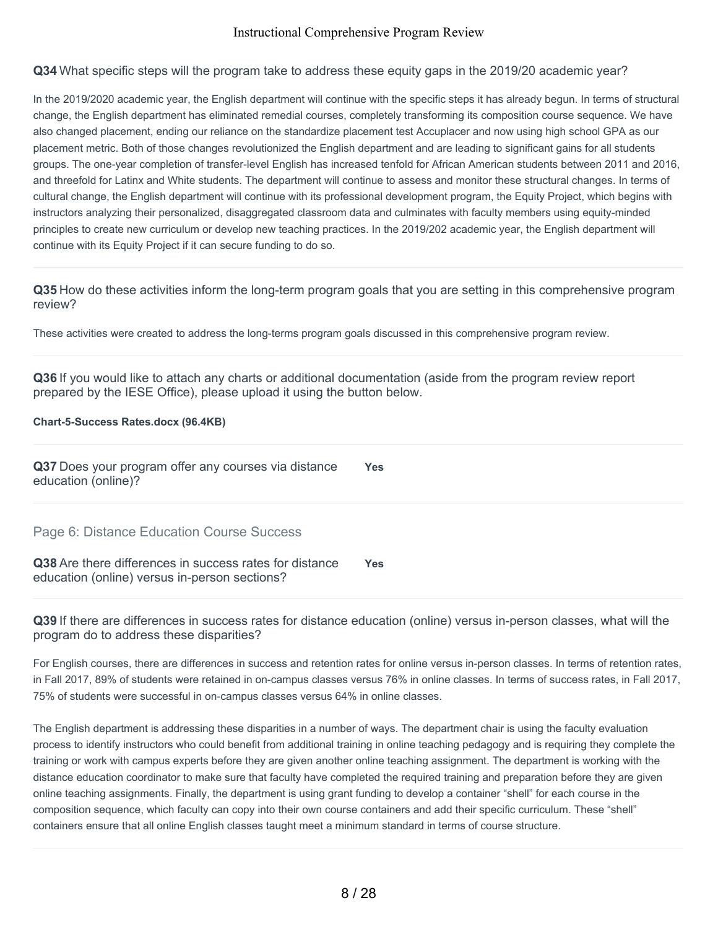**Q34** What specific steps will the program take to address these equity gaps in the 2019/20 academic year?

In the 2019/2020 academic year, the English department will continue with the specific steps it has already begun. In terms of structural change, the English department has eliminated remedial courses, completely transforming its composition course sequence. We have also changed placement, ending our reliance on the standardize placement test Accuplacer and now using high school GPA as our placement metric. Both of those changes revolutionized the English department and are leading to significant gains for all students groups. The one-year completion of transfer-level English has increased tenfold for African American students between 2011 and 2016, and threefold for Latinx and White students. The department will continue to assess and monitor these structural changes. In terms of cultural change, the English department will continue with its professional development program, the Equity Project, which begins with instructors analyzing their personalized, disaggregated classroom data and culminates with faculty members using equity-minded principles to create new curriculum or develop new teaching practices. In the 2019/202 academic year, the English department will continue with its Equity Project if it can secure funding to do so.

**Q35** How do these activities inform the long-term program goals that you are setting in this comprehensive program review?

These activities were created to address the long-terms program goals discussed in this comprehensive program review.

**Q36** If you would like to attach any charts or additional documentation (aside from the program review report prepared by the IESE Office), please upload it using the button below.

#### **Chart-5-Success Rates.docx (96.4KB)**

**Q37** Does your program offer any courses via distance education (online)? **Yes**

Page 6: Distance Education Course Success

**Q38** Are there differences in success rates for distance education (online) versus in-person sections? **Yes**

**Q39** If there are differences in success rates for distance education (online) versus in-person classes, what will the program do to address these disparities?

For English courses, there are differences in success and retention rates for online versus in-person classes. In terms of retention rates, in Fall 2017, 89% of students were retained in on-campus classes versus 76% in online classes. In terms of success rates, in Fall 2017, 75% of students were successful in on-campus classes versus 64% in online classes.

The English department is addressing these disparities in a number of ways. The department chair is using the faculty evaluation process to identify instructors who could benefit from additional training in online teaching pedagogy and is requiring they complete the training or work with campus experts before they are given another online teaching assignment. The department is working with the distance education coordinator to make sure that faculty have completed the required training and preparation before they are given online teaching assignments. Finally, the department is using grant funding to develop a container "shell" for each course in the composition sequence, which faculty can copy into their own course containers and add their specific curriculum. These "shell" containers ensure that all online English classes taught meet a minimum standard in terms of course structure.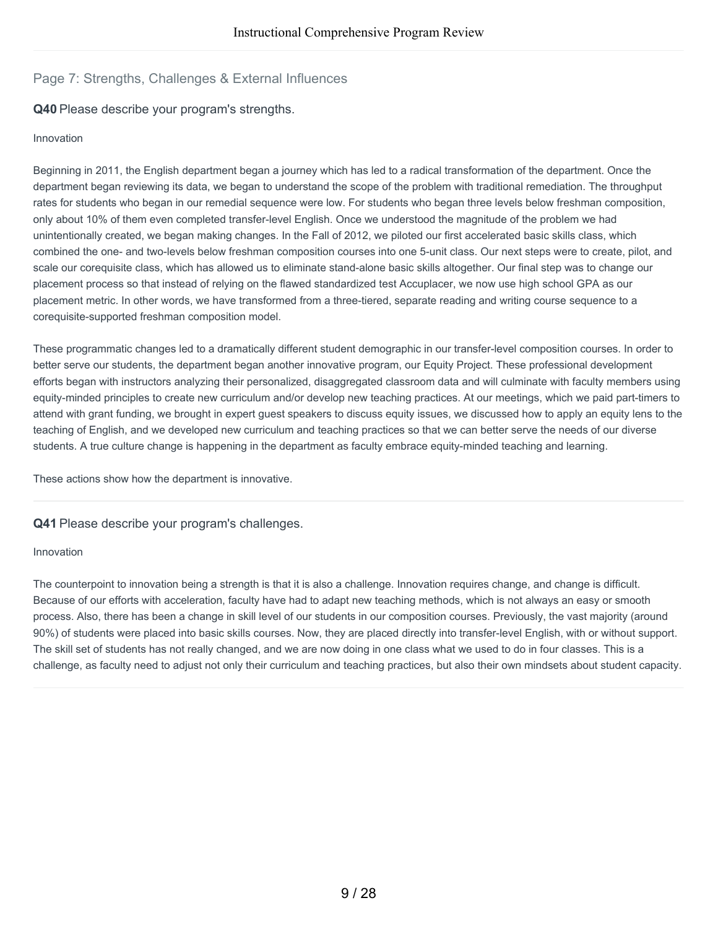# Page 7: Strengths, Challenges & External Influences

# **Q40** Please describe your program's strengths.

#### Innovation

Beginning in 2011, the English department began a journey which has led to a radical transformation of the department. Once the department began reviewing its data, we began to understand the scope of the problem with traditional remediation. The throughput rates for students who began in our remedial sequence were low. For students who began three levels below freshman composition, only about 10% of them even completed transfer-level English. Once we understood the magnitude of the problem we had unintentionally created, we began making changes. In the Fall of 2012, we piloted our first accelerated basic skills class, which combined the one- and two-levels below freshman composition courses into one 5-unit class. Our next steps were to create, pilot, and scale our corequisite class, which has allowed us to eliminate stand-alone basic skills altogether. Our final step was to change our placement process so that instead of relying on the flawed standardized test Accuplacer, we now use high school GPA as our placement metric. In other words, we have transformed from a three-tiered, separate reading and writing course sequence to a corequisite-supported freshman composition model.

These programmatic changes led to a dramatically different student demographic in our transfer-level composition courses. In order to better serve our students, the department began another innovative program, our Equity Project. These professional development efforts began with instructors analyzing their personalized, disaggregated classroom data and will culminate with faculty members using equity-minded principles to create new curriculum and/or develop new teaching practices. At our meetings, which we paid part-timers to attend with grant funding, we brought in expert guest speakers to discuss equity issues, we discussed how to apply an equity lens to the teaching of English, and we developed new curriculum and teaching practices so that we can better serve the needs of our diverse students. A true culture change is happening in the department as faculty embrace equity-minded teaching and learning.

These actions show how the department is innovative.

#### **Q41** Please describe your program's challenges.

#### Innovation

The counterpoint to innovation being a strength is that it is also a challenge. Innovation requires change, and change is difficult. Because of our efforts with acceleration, faculty have had to adapt new teaching methods, which is not always an easy or smooth process. Also, there has been a change in skill level of our students in our composition courses. Previously, the vast majority (around 90%) of students were placed into basic skills courses. Now, they are placed directly into transfer-level English, with or without support. The skill set of students has not really changed, and we are now doing in one class what we used to do in four classes. This is a challenge, as faculty need to adjust not only their curriculum and teaching practices, but also their own mindsets about student capacity.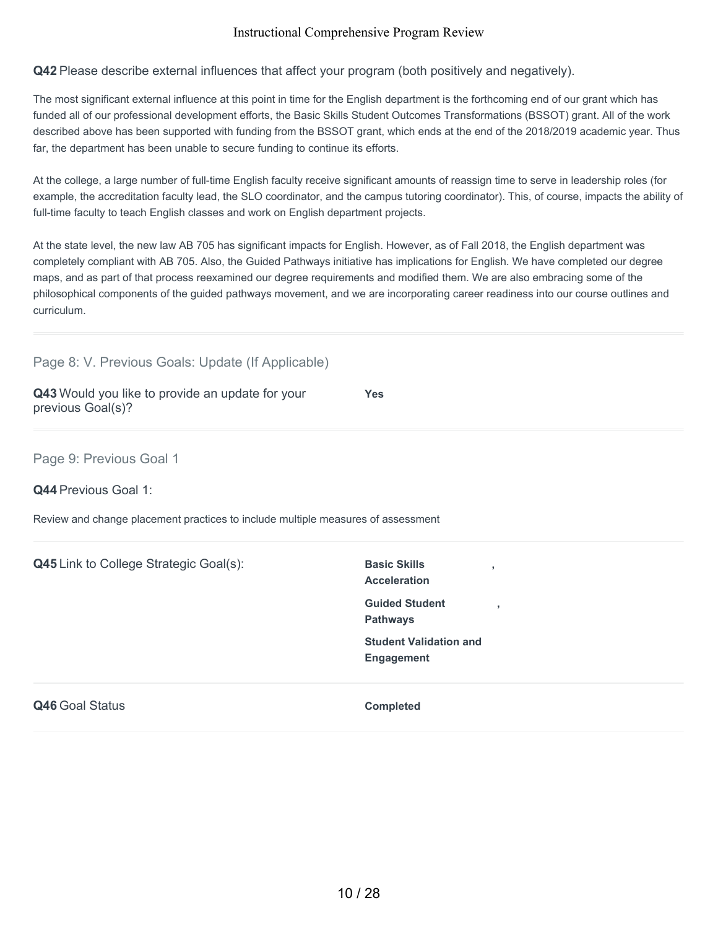**Q42** Please describe external influences that affect your program (both positively and negatively).

The most significant external influence at this point in time for the English department is the forthcoming end of our grant which has funded all of our professional development efforts, the Basic Skills Student Outcomes Transformations (BSSOT) grant. All of the work described above has been supported with funding from the BSSOT grant, which ends at the end of the 2018/2019 academic year. Thus far, the department has been unable to secure funding to continue its efforts.

At the college, a large number of full-time English faculty receive significant amounts of reassign time to serve in leadership roles (for example, the accreditation faculty lead, the SLO coordinator, and the campus tutoring coordinator). This, of course, impacts the ability of full-time faculty to teach English classes and work on English department projects.

At the state level, the new law AB 705 has significant impacts for English. However, as of Fall 2018, the English department was completely compliant with AB 705. Also, the Guided Pathways initiative has implications for English. We have completed our degree maps, and as part of that process reexamined our degree requirements and modified them. We are also embracing some of the philosophical components of the guided pathways movement, and we are incorporating career readiness into our course outlines and curriculum.

| Page 8: V. Previous Goals: Update (If Applicable)                                |                                                    |
|----------------------------------------------------------------------------------|----------------------------------------------------|
| Q43 Would you like to provide an update for your<br>previous Goal(s)?            | <b>Yes</b>                                         |
| Page 9: Previous Goal 1<br>Q44 Previous Goal 1:                                  |                                                    |
| Review and change placement practices to include multiple measures of assessment |                                                    |
|                                                                                  |                                                    |
| Q45 Link to College Strategic Goal(s):                                           | <b>Basic Skills</b><br>y                           |
|                                                                                  | <b>Acceleration</b>                                |
|                                                                                  | <b>Guided Student</b><br>٠<br><b>Pathways</b>      |
|                                                                                  | <b>Student Validation and</b><br><b>Engagement</b> |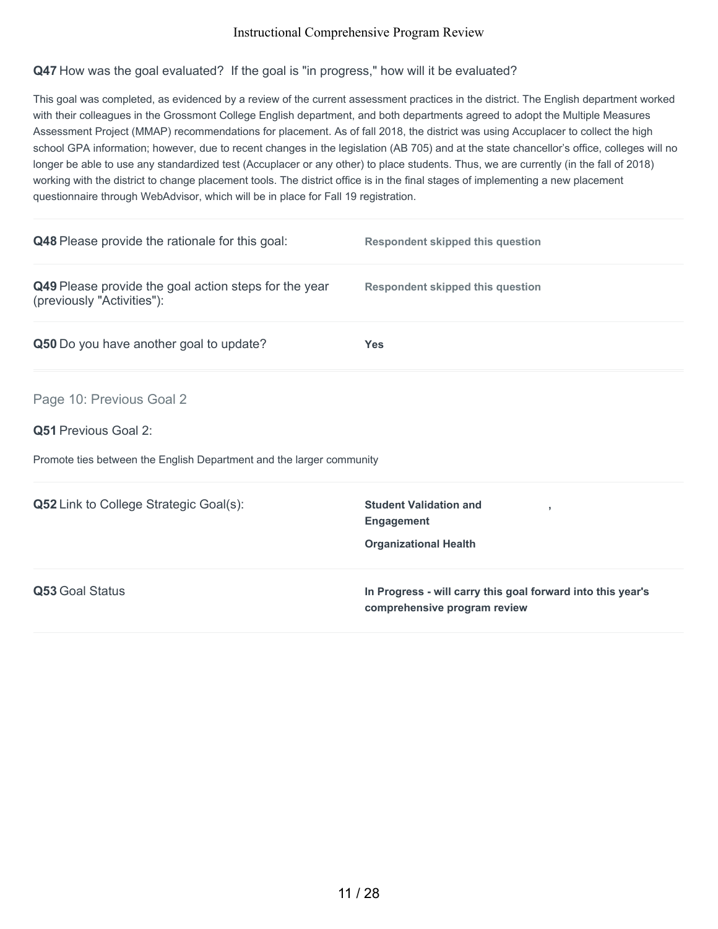# **Q47** How was the goal evaluated? If the goal is "in progress," how will it be evaluated?

This goal was completed, as evidenced by a review of the current assessment practices in the district. The English department worked with their colleagues in the Grossmont College English department, and both departments agreed to adopt the Multiple Measures Assessment Project (MMAP) recommendations for placement. As of fall 2018, the district was using Accuplacer to collect the high school GPA information; however, due to recent changes in the legislation (AB 705) and at the state chancellor's office, colleges will no longer be able to use any standardized test (Accuplacer or any other) to place students. Thus, we are currently (in the fall of 2018) working with the district to change placement tools. The district office is in the final stages of implementing a new placement questionnaire through WebAdvisor, which will be in place for Fall 19 registration.

| Q48 Please provide the rationale for this goal:                                     | <b>Respondent skipped this question</b>                                                     |
|-------------------------------------------------------------------------------------|---------------------------------------------------------------------------------------------|
| Q49 Please provide the goal action steps for the year<br>(previously "Activities"): | <b>Respondent skipped this question</b>                                                     |
| Q50 Do you have another goal to update?                                             | <b>Yes</b>                                                                                  |
| Page 10: Previous Goal 2                                                            |                                                                                             |
| <b>Q51 Previous Goal 2:</b>                                                         |                                                                                             |
| Promote ties between the English Department and the larger community                |                                                                                             |
| <b>Q52</b> Link to College Strategic Goal(s):                                       | <b>Student Validation and</b><br><b>Engagement</b>                                          |
|                                                                                     | <b>Organizational Health</b>                                                                |
| Q53 Goal Status                                                                     | In Progress - will carry this goal forward into this year's<br>comprehensive program review |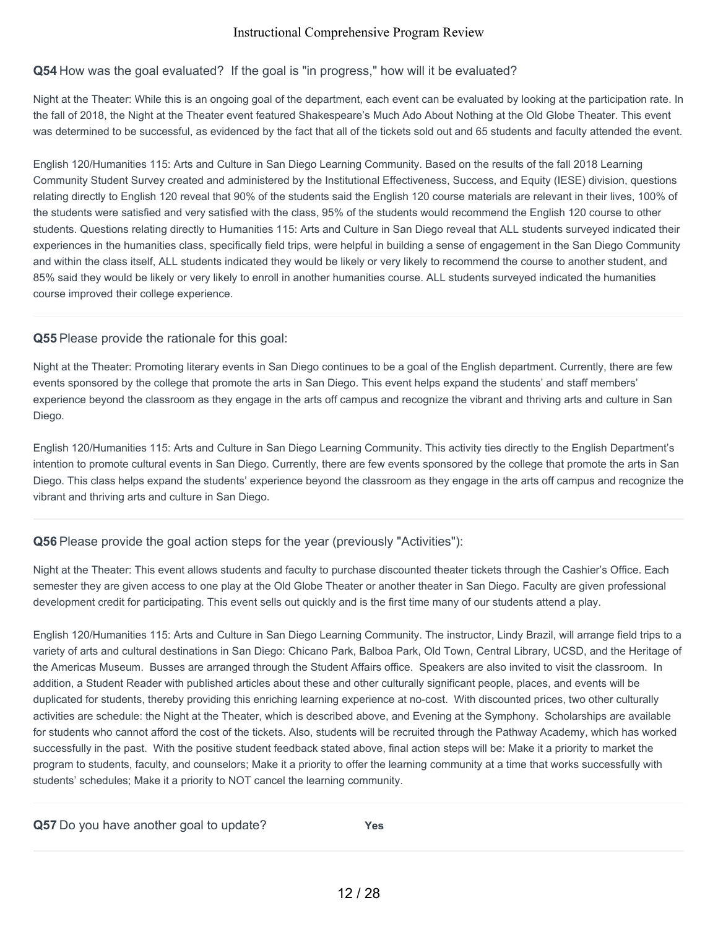# **Q54** How was the goal evaluated? If the goal is "in progress," how will it be evaluated?

Night at the Theater: While this is an ongoing goal of the department, each event can be evaluated by looking at the participation rate. In the fall of 2018, the Night at the Theater event featured Shakespeare's Much Ado About Nothing at the Old Globe Theater. This event was determined to be successful, as evidenced by the fact that all of the tickets sold out and 65 students and faculty attended the event.

English 120/Humanities 115: Arts and Culture in San Diego Learning Community. Based on the results of the fall 2018 Learning Community Student Survey created and administered by the Institutional Effectiveness, Success, and Equity (IESE) division, questions relating directly to English 120 reveal that 90% of the students said the English 120 course materials are relevant in their lives, 100% of the students were satisfied and very satisfied with the class, 95% of the students would recommend the English 120 course to other students. Questions relating directly to Humanities 115: Arts and Culture in San Diego reveal that ALL students surveyed indicated their experiences in the humanities class, specifically field trips, were helpful in building a sense of engagement in the San Diego Community and within the class itself, ALL students indicated they would be likely or very likely to recommend the course to another student, and 85% said they would be likely or very likely to enroll in another humanities course. ALL students surveyed indicated the humanities course improved their college experience.

# **Q55** Please provide the rationale for this goal:

Night at the Theater: Promoting literary events in San Diego continues to be a goal of the English department. Currently, there are few events sponsored by the college that promote the arts in San Diego. This event helps expand the students' and staff members' experience beyond the classroom as they engage in the arts off campus and recognize the vibrant and thriving arts and culture in San Diego.

English 120/Humanities 115: Arts and Culture in San Diego Learning Community. This activity ties directly to the English Department's intention to promote cultural events in San Diego. Currently, there are few events sponsored by the college that promote the arts in San Diego. This class helps expand the students' experience beyond the classroom as they engage in the arts off campus and recognize the vibrant and thriving arts and culture in San Diego.

# **Q56** Please provide the goal action steps for the year (previously "Activities"):

Night at the Theater: This event allows students and faculty to purchase discounted theater tickets through the Cashier's Office. Each semester they are given access to one play at the Old Globe Theater or another theater in San Diego. Faculty are given professional development credit for participating. This event sells out quickly and is the first time many of our students attend a play.

English 120/Humanities 115: Arts and Culture in San Diego Learning Community. The instructor, Lindy Brazil, will arrange field trips to a variety of arts and cultural destinations in San Diego: Chicano Park, Balboa Park, Old Town, Central Library, UCSD, and the Heritage of the Americas Museum. Busses are arranged through the Student Affairs office. Speakers are also invited to visit the classroom. In addition, a Student Reader with published articles about these and other culturally significant people, places, and events will be duplicated for students, thereby providing this enriching learning experience at no-cost. With discounted prices, two other culturally activities are schedule: the Night at the Theater, which is described above, and Evening at the Symphony. Scholarships are available for students who cannot afford the cost of the tickets. Also, students will be recruited through the Pathway Academy, which has worked successfully in the past. With the positive student feedback stated above, final action steps will be: Make it a priority to market the program to students, faculty, and counselors; Make it a priority to offer the learning community at a time that works successfully with students' schedules; Make it a priority to NOT cancel the learning community.

| Q57 Do you have another goal to update? | Yes |
|-----------------------------------------|-----|
|-----------------------------------------|-----|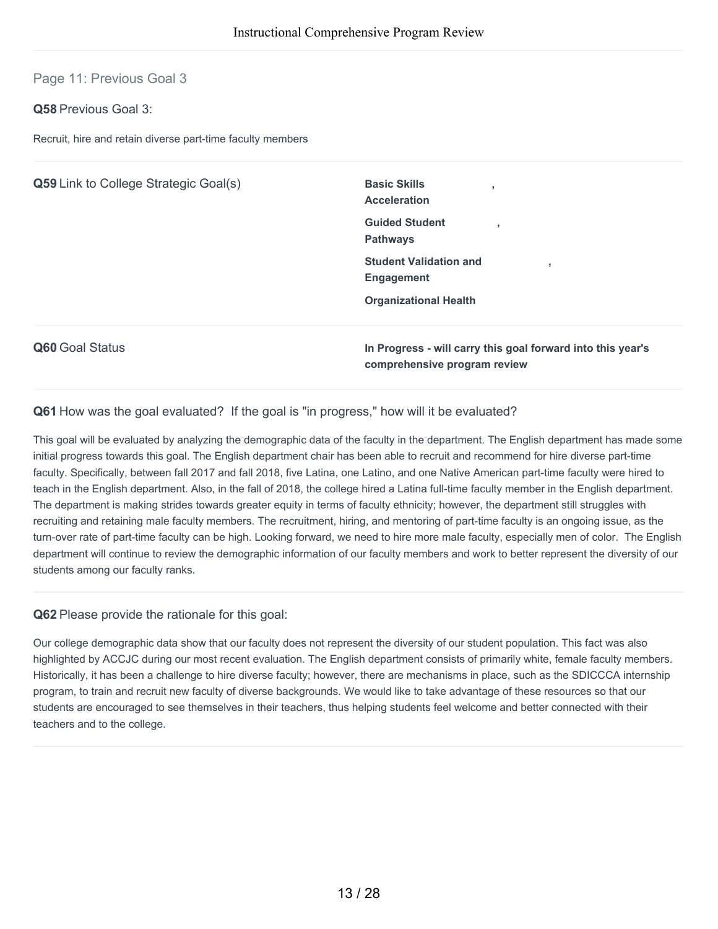# Page 11: Previous Goal 3

### **Q58** Previous Goal 3:

Recruit, hire and retain diverse part-time faculty members

| <b>Q59</b> Link to College Strategic Goal(s) | <b>Basic Skills</b><br><b>Acceleration</b>                  |
|----------------------------------------------|-------------------------------------------------------------|
|                                              | <b>Guided Student</b><br><b>Pathways</b>                    |
|                                              | <b>Student Validation and</b><br><b>Engagement</b>          |
|                                              | <b>Organizational Health</b>                                |
| Q60 Goal Status                              | In Progress - will carry this goal forward into this year's |

**comprehensive program review**

#### **Q61** How was the goal evaluated? If the goal is "in progress," how will it be evaluated?

This goal will be evaluated by analyzing the demographic data of the faculty in the department. The English department has made some initial progress towards this goal. The English department chair has been able to recruit and recommend for hire diverse part-time faculty. Specifically, between fall 2017 and fall 2018, five Latina, one Latino, and one Native American part-time faculty were hired to teach in the English department. Also, in the fall of 2018, the college hired a Latina full-time faculty member in the English department. The department is making strides towards greater equity in terms of faculty ethnicity; however, the department still struggles with recruiting and retaining male faculty members. The recruitment, hiring, and mentoring of part-time faculty is an ongoing issue, as the turn-over rate of part-time faculty can be high. Looking forward, we need to hire more male faculty, especially men of color. The English department will continue to review the demographic information of our faculty members and work to better represent the diversity of our students among our faculty ranks.

#### **Q62** Please provide the rationale for this goal:

Our college demographic data show that our faculty does not represent the diversity of our student population. This fact was also highlighted by ACCJC during our most recent evaluation. The English department consists of primarily white, female faculty members. Historically, it has been a challenge to hire diverse faculty; however, there are mechanisms in place, such as the SDICCCA internship program, to train and recruit new faculty of diverse backgrounds. We would like to take advantage of these resources so that our students are encouraged to see themselves in their teachers, thus helping students feel welcome and better connected with their teachers and to the college.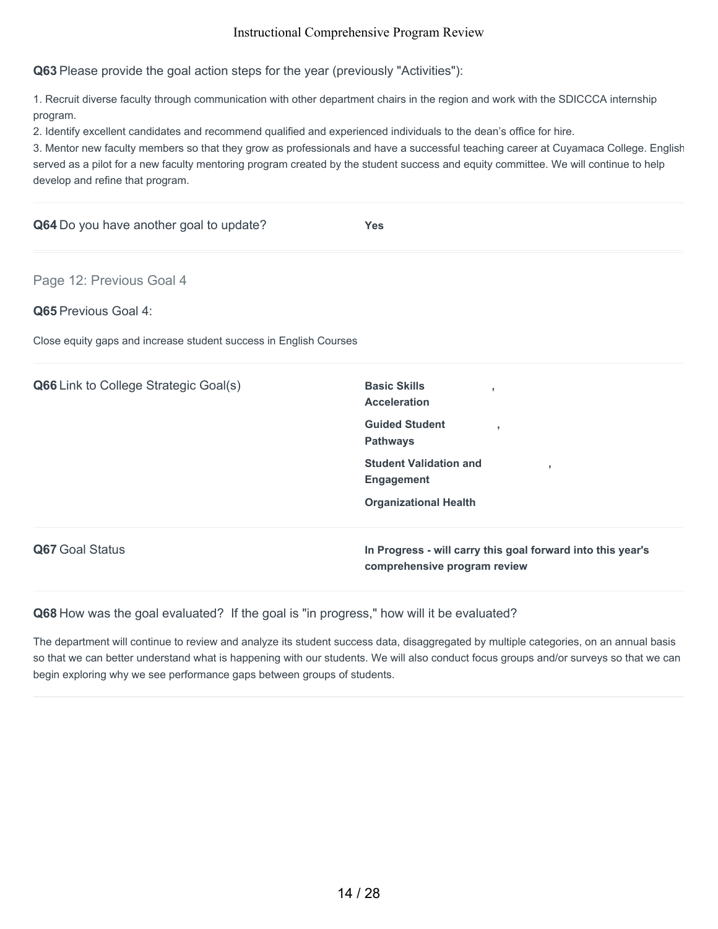**Q63** Please provide the goal action steps for the year (previously "Activities"):

1. Recruit diverse faculty through communication with other department chairs in the region and work with the SDICCCA internship program.

2. Identify excellent candidates and recommend qualified and experienced individuals to the dean's office for hire.

3. Mentor new faculty members so that they grow as professionals and have a successful teaching career at Cuyamaca College. English served as a pilot for a new faculty mentoring program created by the student success and equity committee. We will continue to help develop and refine that program.

| Q64 Do you have another goal to update?                           | <b>Yes</b>                                                                                  |
|-------------------------------------------------------------------|---------------------------------------------------------------------------------------------|
| Page 12: Previous Goal 4                                          |                                                                                             |
| <b>Q65</b> Previous Goal 4:                                       |                                                                                             |
| Close equity gaps and increase student success in English Courses |                                                                                             |
| Q66 Link to College Strategic Goal(s)                             | <b>Basic Skills</b><br>$\overline{1}$<br><b>Acceleration</b>                                |
|                                                                   | <b>Guided Student</b><br>$\overline{\phantom{a}}$<br><b>Pathways</b>                        |
|                                                                   | <b>Student Validation and</b><br>$\overline{1}$<br><b>Engagement</b>                        |
|                                                                   | <b>Organizational Health</b>                                                                |
| Q67 Goal Status                                                   | In Progress - will carry this goal forward into this year's<br>comprehensive program review |

**Q68** How was the goal evaluated? If the goal is "in progress," how will it be evaluated?

The department will continue to review and analyze its student success data, disaggregated by multiple categories, on an annual basis so that we can better understand what is happening with our students. We will also conduct focus groups and/or surveys so that we can begin exploring why we see performance gaps between groups of students.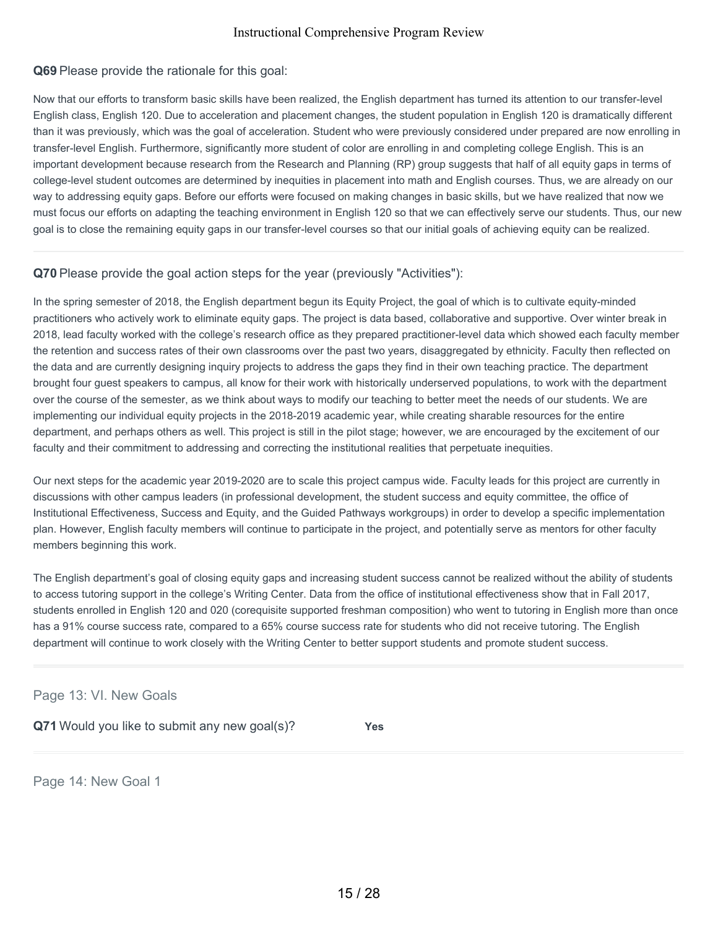### **Q69** Please provide the rationale for this goal:

Now that our efforts to transform basic skills have been realized, the English department has turned its attention to our transfer-level English class, English 120. Due to acceleration and placement changes, the student population in English 120 is dramatically different than it was previously, which was the goal of acceleration. Student who were previously considered under prepared are now enrolling in transfer-level English. Furthermore, significantly more student of color are enrolling in and completing college English. This is an important development because research from the Research and Planning (RP) group suggests that half of all equity gaps in terms of college-level student outcomes are determined by inequities in placement into math and English courses. Thus, we are already on our way to addressing equity gaps. Before our efforts were focused on making changes in basic skills, but we have realized that now we must focus our efforts on adapting the teaching environment in English 120 so that we can effectively serve our students. Thus, our new goal is to close the remaining equity gaps in our transfer-level courses so that our initial goals of achieving equity can be realized.

## **Q70** Please provide the goal action steps for the year (previously "Activities"):

In the spring semester of 2018, the English department begun its Equity Project, the goal of which is to cultivate equity-minded practitioners who actively work to eliminate equity gaps. The project is data based, collaborative and supportive. Over winter break in 2018, lead faculty worked with the college's research office as they prepared practitioner-level data which showed each faculty member the retention and success rates of their own classrooms over the past two years, disaggregated by ethnicity. Faculty then reflected on the data and are currently designing inquiry projects to address the gaps they find in their own teaching practice. The department brought four guest speakers to campus, all know for their work with historically underserved populations, to work with the department over the course of the semester, as we think about ways to modify our teaching to better meet the needs of our students. We are implementing our individual equity projects in the 2018-2019 academic year, while creating sharable resources for the entire department, and perhaps others as well. This project is still in the pilot stage; however, we are encouraged by the excitement of our faculty and their commitment to addressing and correcting the institutional realities that perpetuate inequities.

Our next steps for the academic year 2019-2020 are to scale this project campus wide. Faculty leads for this project are currently in discussions with other campus leaders (in professional development, the student success and equity committee, the office of Institutional Effectiveness, Success and Equity, and the Guided Pathways workgroups) in order to develop a specific implementation plan. However, English faculty members will continue to participate in the project, and potentially serve as mentors for other faculty members beginning this work.

The English department's goal of closing equity gaps and increasing student success cannot be realized without the ability of students to access tutoring support in the college's Writing Center. Data from the office of institutional effectiveness show that in Fall 2017, students enrolled in English 120 and 020 (corequisite supported freshman composition) who went to tutoring in English more than once has a 91% course success rate, compared to a 65% course success rate for students who did not receive tutoring. The English department will continue to work closely with the Writing Center to better support students and promote student success.

#### Page 13: VI. New Goals

**Q71** Would you like to submit any new goal(s)? **Yes**

Page 14: New Goal 1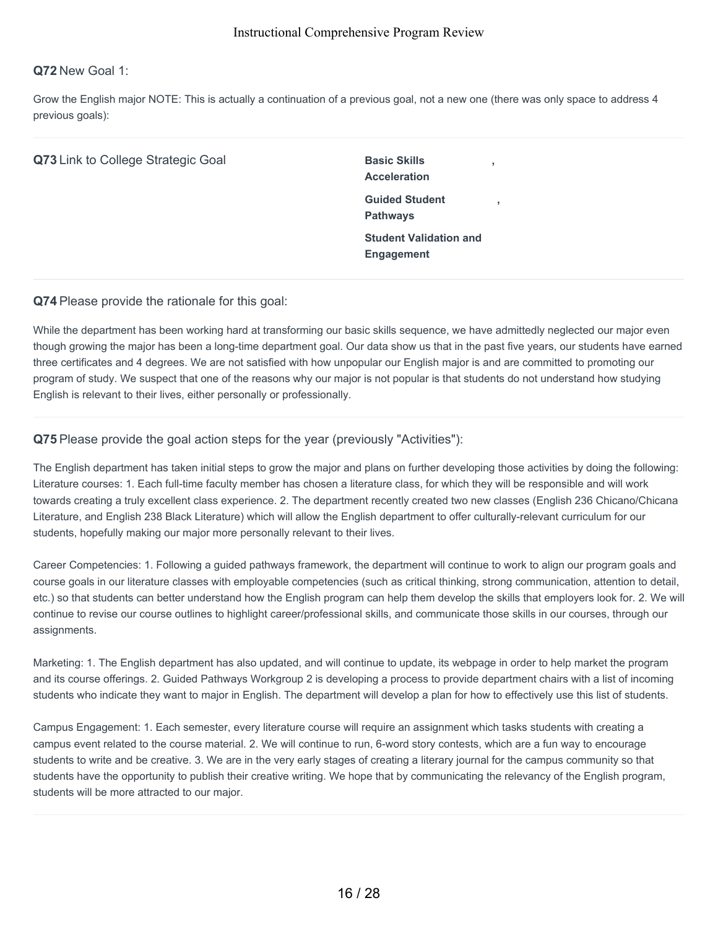### **Q72** New Goal 1:

Grow the English major NOTE: This is actually a continuation of a previous goal, not a new one (there was only space to address 4 previous goals):

|  | Q73 Link to College Strategic Goal |
|--|------------------------------------|
|--|------------------------------------|

**Basic Skills Acceleration Guided Student Pathways Student Validation and Engagement**

**,**

**,**

#### **Q74** Please provide the rationale for this goal:

While the department has been working hard at transforming our basic skills sequence, we have admittedly neglected our major even though growing the major has been a long-time department goal. Our data show us that in the past five years, our students have earned three certificates and 4 degrees. We are not satisfied with how unpopular our English major is and are committed to promoting our program of study. We suspect that one of the reasons why our major is not popular is that students do not understand how studying English is relevant to their lives, either personally or professionally.

#### **Q75** Please provide the goal action steps for the year (previously "Activities"):

The English department has taken initial steps to grow the major and plans on further developing those activities by doing the following: Literature courses: 1. Each full-time faculty member has chosen a literature class, for which they will be responsible and will work towards creating a truly excellent class experience. 2. The department recently created two new classes (English 236 Chicano/Chicana Literature, and English 238 Black Literature) which will allow the English department to offer culturally-relevant curriculum for our students, hopefully making our major more personally relevant to their lives.

Career Competencies: 1. Following a guided pathways framework, the department will continue to work to align our program goals and course goals in our literature classes with employable competencies (such as critical thinking, strong communication, attention to detail, etc.) so that students can better understand how the English program can help them develop the skills that employers look for. 2. We will continue to revise our course outlines to highlight career/professional skills, and communicate those skills in our courses, through our assignments.

Marketing: 1. The English department has also updated, and will continue to update, its webpage in order to help market the program and its course offerings. 2. Guided Pathways Workgroup 2 is developing a process to provide department chairs with a list of incoming students who indicate they want to major in English. The department will develop a plan for how to effectively use this list of students.

Campus Engagement: 1. Each semester, every literature course will require an assignment which tasks students with creating a campus event related to the course material. 2. We will continue to run, 6-word story contests, which are a fun way to encourage students to write and be creative. 3. We are in the very early stages of creating a literary journal for the campus community so that students have the opportunity to publish their creative writing. We hope that by communicating the relevancy of the English program, students will be more attracted to our major.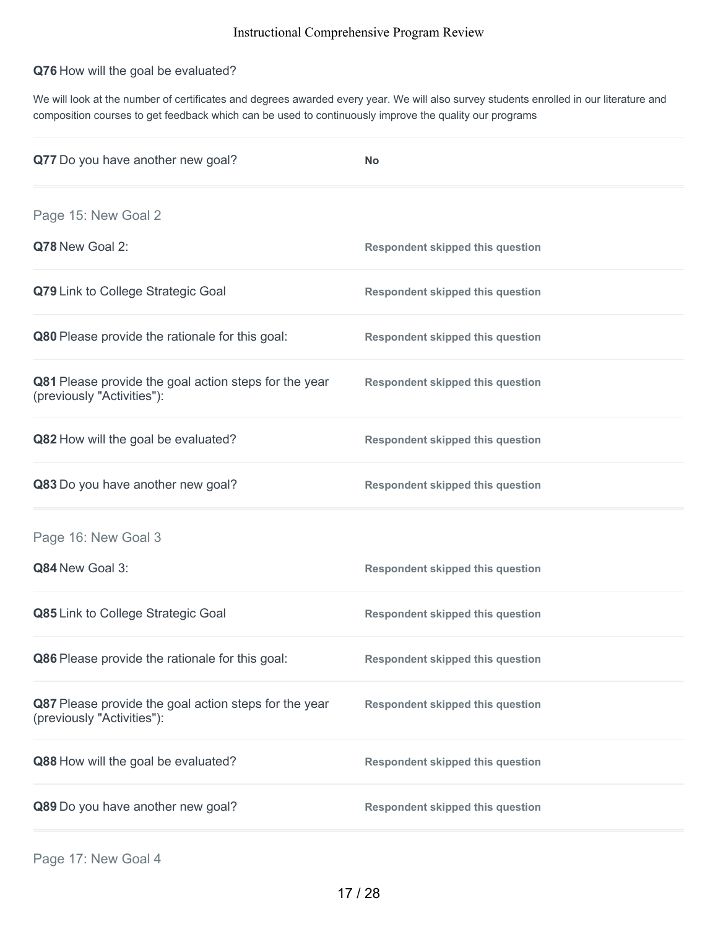# **Q76** How will the goal be evaluated?

We will look at the number of certificates and degrees awarded every year. We will also survey students enrolled in our literature and composition courses to get feedback which can be used to continuously improve the quality our programs

| Q77 Do you have another new goal?                                                   | <b>No</b>                               |
|-------------------------------------------------------------------------------------|-----------------------------------------|
| Page 15: New Goal 2                                                                 |                                         |
| Q78 New Goal 2:                                                                     | <b>Respondent skipped this question</b> |
| Q79 Link to College Strategic Goal                                                  | <b>Respondent skipped this question</b> |
| Q80 Please provide the rationale for this goal:                                     | <b>Respondent skipped this question</b> |
| Q81 Please provide the goal action steps for the year<br>(previously "Activities"): | <b>Respondent skipped this question</b> |
| Q82 How will the goal be evaluated?                                                 | <b>Respondent skipped this question</b> |
| Q83 Do you have another new goal?                                                   | <b>Respondent skipped this question</b> |
| Page 16: New Goal 3                                                                 |                                         |
| Q84 New Goal 3:                                                                     | <b>Respondent skipped this question</b> |
| Q85 Link to College Strategic Goal                                                  | <b>Respondent skipped this question</b> |
| Q86 Please provide the rationale for this goal:                                     | <b>Respondent skipped this question</b> |
| Q87 Please provide the goal action steps for the year<br>(previously "Activities"): | <b>Respondent skipped this question</b> |
| Q88 How will the goal be evaluated?                                                 | <b>Respondent skipped this question</b> |
| Q89 Do you have another new goal?                                                   | <b>Respondent skipped this question</b> |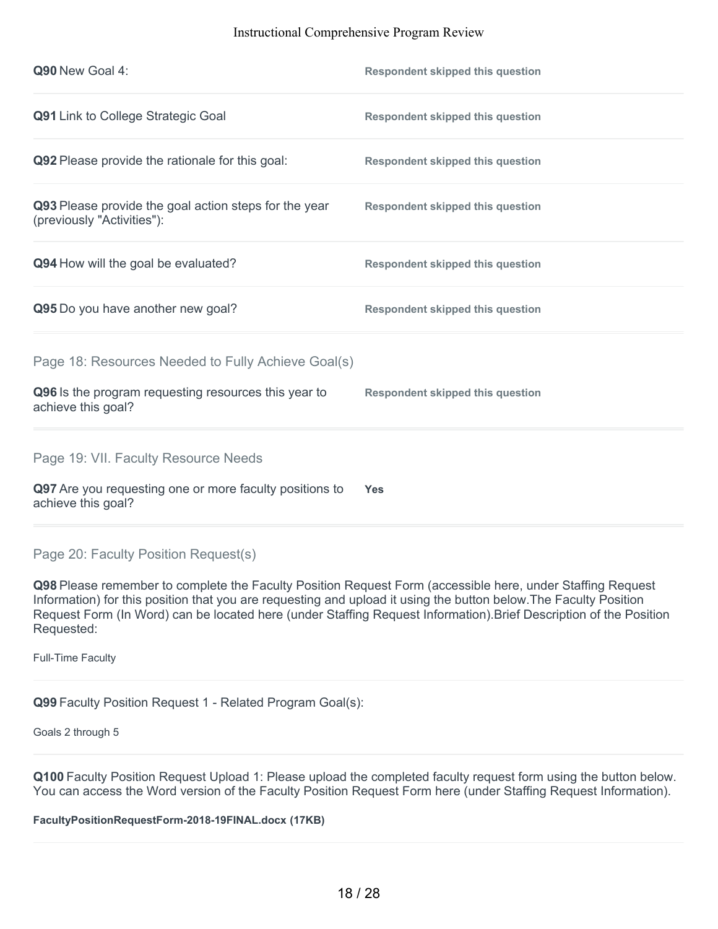| Q90 New Goal 4:                                                                                                                  | <b>Respondent skipped this question</b> |
|----------------------------------------------------------------------------------------------------------------------------------|-----------------------------------------|
| Q91 Link to College Strategic Goal                                                                                               | <b>Respondent skipped this question</b> |
| Q92 Please provide the rationale for this goal:                                                                                  | <b>Respondent skipped this question</b> |
| Q93 Please provide the goal action steps for the year<br>(previously "Activities"):                                              | <b>Respondent skipped this question</b> |
| Q94 How will the goal be evaluated?                                                                                              | <b>Respondent skipped this question</b> |
| Q95 Do you have another new goal?                                                                                                | <b>Respondent skipped this question</b> |
| Page 18: Resources Needed to Fully Achieve Goal(s)<br>Q96 Is the program requesting resources this year to<br>achieve this goal? | <b>Respondent skipped this question</b> |
| Page 19: VII. Faculty Resource Needs<br>Q97 Are you requesting one or more faculty positions to<br>achieve this goal?            | <b>Yes</b>                              |

# Page 20: Faculty Position Request(s)

**Q98** Please remember to complete the Faculty Position Request Form (accessible here, under Staffing Request Information) for this position that you are requesting and upload it using the button below.The Faculty Position Request Form (In Word) can be located here (under Staffing Request Information).Brief Description of the Position Requested:

Full-Time Faculty

**Q99** Faculty Position Request 1 - Related Program Goal(s):

Goals 2 through 5

**Q100** Faculty Position Request Upload 1: Please upload the completed faculty request form using the button below. You can access the Word version of the Faculty Position Request Form here (under Staffing Request Information).

**FacultyPositionRequestForm-2018-19FINAL.docx (17KB)**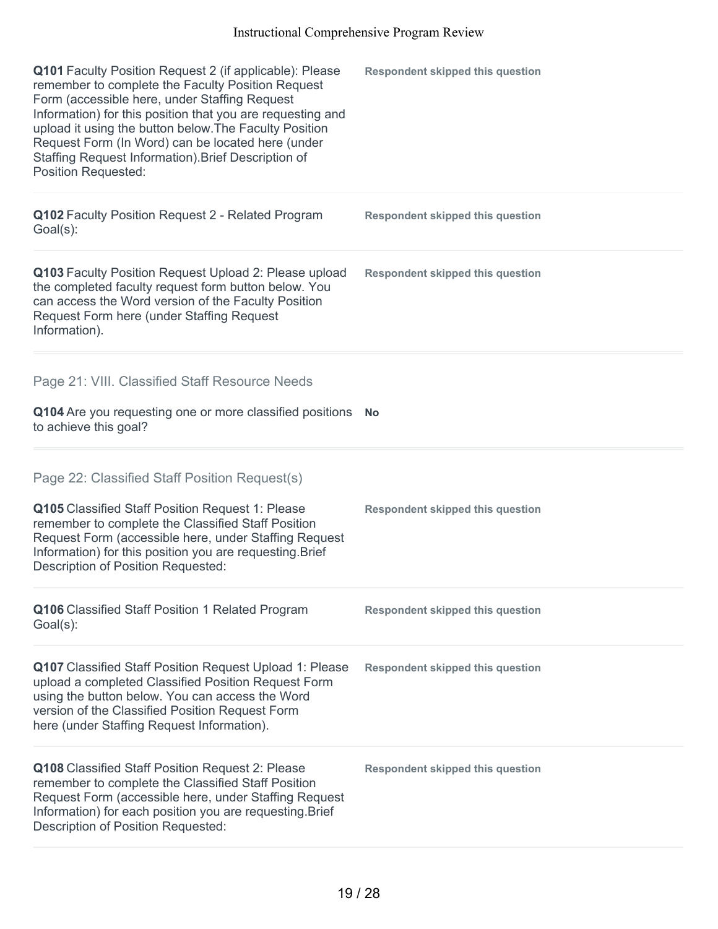| Q101 Faculty Position Request 2 (if applicable): Please<br>remember to complete the Faculty Position Request<br>Form (accessible here, under Staffing Request<br>Information) for this position that you are requesting and<br>upload it using the button below. The Faculty Position<br>Request Form (In Word) can be located here (under<br>Staffing Request Information). Brief Description of<br>Position Requested: | <b>Respondent skipped this question</b> |
|--------------------------------------------------------------------------------------------------------------------------------------------------------------------------------------------------------------------------------------------------------------------------------------------------------------------------------------------------------------------------------------------------------------------------|-----------------------------------------|
| Q102 Faculty Position Request 2 - Related Program<br>$Goal(s)$ :                                                                                                                                                                                                                                                                                                                                                         | <b>Respondent skipped this question</b> |
| Q103 Faculty Position Request Upload 2: Please upload<br>the completed faculty request form button below. You<br>can access the Word version of the Faculty Position<br>Request Form here (under Staffing Request<br>Information).                                                                                                                                                                                       | <b>Respondent skipped this question</b> |
| Page 21: VIII. Classified Staff Resource Needs                                                                                                                                                                                                                                                                                                                                                                           |                                         |
| Q104 Are you requesting one or more classified positions<br>to achieve this goal?                                                                                                                                                                                                                                                                                                                                        | <b>No</b>                               |
| Page 22: Classified Staff Position Request(s)                                                                                                                                                                                                                                                                                                                                                                            |                                         |
| Q105 Classified Staff Position Request 1: Please<br>remember to complete the Classified Staff Position<br>Request Form (accessible here, under Staffing Request<br>Information) for this position you are requesting. Brief<br>Description of Position Requested:                                                                                                                                                        | <b>Respondent skipped this question</b> |
| Q106 Classified Staff Position 1 Related Program<br>Goal(s):                                                                                                                                                                                                                                                                                                                                                             | <b>Respondent skipped this question</b> |
| <b>Q107</b> Classified Staff Position Request Upload 1: Please<br>upload a completed Classified Position Request Form<br>using the button below. You can access the Word<br>version of the Classified Position Request Form<br>here (under Staffing Request Information).                                                                                                                                                | <b>Respondent skipped this question</b> |
| Q108 Classified Staff Position Request 2: Please<br>remember to complete the Classified Staff Position<br>Request Form (accessible here, under Staffing Request<br>Information) for each position you are requesting. Brief<br>Description of Position Requested:                                                                                                                                                        | <b>Respondent skipped this question</b> |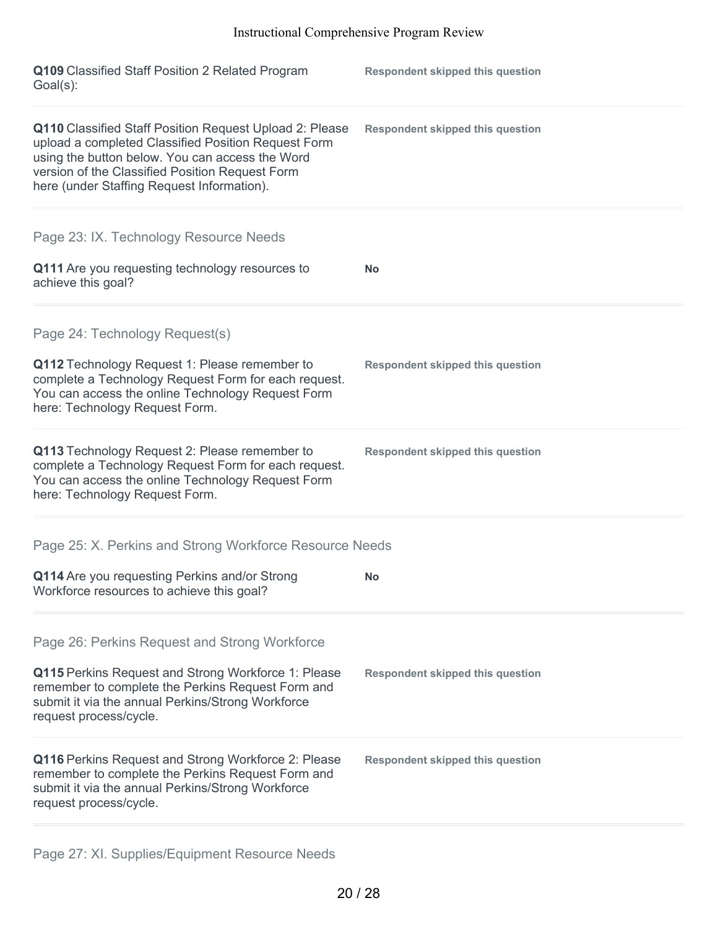| Q109 Classified Staff Position 2 Related Program<br>$Goal(s)$ :                                                                                                                                                                                                    | <b>Respondent skipped this question</b> |
|--------------------------------------------------------------------------------------------------------------------------------------------------------------------------------------------------------------------------------------------------------------------|-----------------------------------------|
| Q110 Classified Staff Position Request Upload 2: Please<br>upload a completed Classified Position Request Form<br>using the button below. You can access the Word<br>version of the Classified Position Request Form<br>here (under Staffing Request Information). | <b>Respondent skipped this question</b> |
| Page 23: IX. Technology Resource Needs                                                                                                                                                                                                                             |                                         |
| Q111 Are you requesting technology resources to<br>achieve this goal?                                                                                                                                                                                              | <b>No</b>                               |
| Page 24: Technology Request(s)                                                                                                                                                                                                                                     |                                         |
| Q112 Technology Request 1: Please remember to<br>complete a Technology Request Form for each request.<br>You can access the online Technology Request Form<br>here: Technology Request Form.                                                                       | <b>Respondent skipped this question</b> |
| Q113 Technology Request 2: Please remember to<br>complete a Technology Request Form for each request.<br>You can access the online Technology Request Form<br>here: Technology Request Form.                                                                       | <b>Respondent skipped this question</b> |
| Page 25: X. Perkins and Strong Workforce Resource Needs                                                                                                                                                                                                            |                                         |
| Q114 Are you requesting Perkins and/or Strong<br>Workforce resources to achieve this goal?                                                                                                                                                                         | <b>No</b>                               |
| Page 26: Perkins Request and Strong Workforce                                                                                                                                                                                                                      |                                         |
| Q115 Perkins Request and Strong Workforce 1: Please<br>remember to complete the Perkins Request Form and<br>submit it via the annual Perkins/Strong Workforce<br>request process/cycle.                                                                            | <b>Respondent skipped this question</b> |
| Q116 Perkins Request and Strong Workforce 2: Please<br>remember to complete the Perkins Request Form and<br>submit it via the annual Perkins/Strong Workforce<br>request process/cycle.                                                                            | <b>Respondent skipped this question</b> |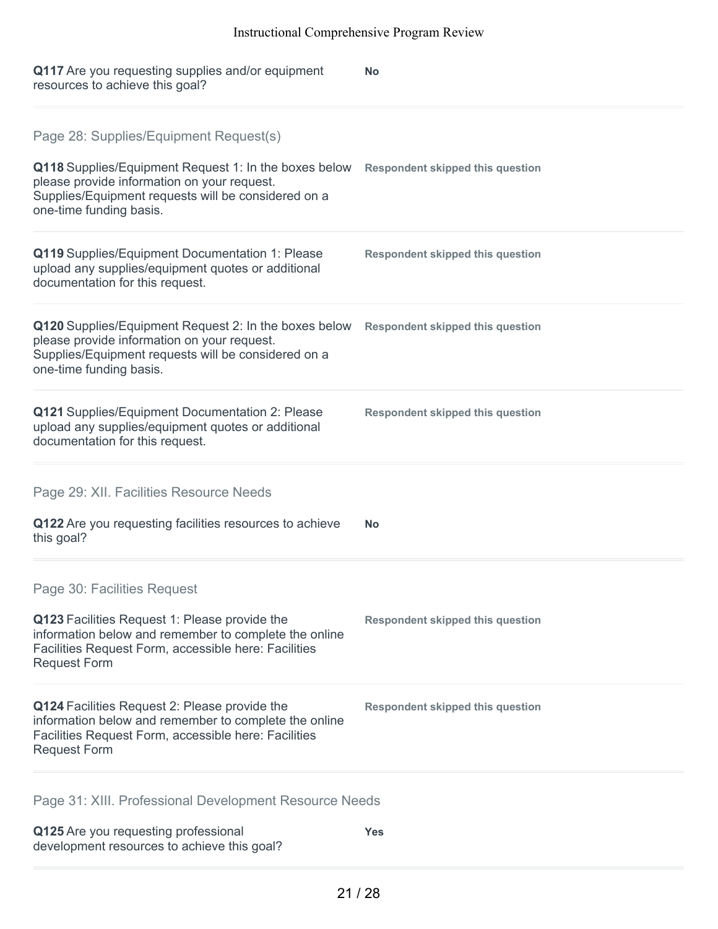| Q117 Are you requesting supplies and/or equipment<br>resources to achieve this goal?                                                                                                                                             | <b>No</b>                               |
|----------------------------------------------------------------------------------------------------------------------------------------------------------------------------------------------------------------------------------|-----------------------------------------|
| Page 28: Supplies/Equipment Request(s)<br>Q118 Supplies/Equipment Request 1: In the boxes below<br>please provide information on your request.<br>Supplies/Equipment requests will be considered on a<br>one-time funding basis. | <b>Respondent skipped this question</b> |
| Q119 Supplies/Equipment Documentation 1: Please<br>upload any supplies/equipment quotes or additional<br>documentation for this request.                                                                                         | <b>Respondent skipped this question</b> |
| Q120 Supplies/Equipment Request 2: In the boxes below<br>please provide information on your request.<br>Supplies/Equipment requests will be considered on a<br>one-time funding basis.                                           | <b>Respondent skipped this question</b> |
| Q121 Supplies/Equipment Documentation 2: Please<br>upload any supplies/equipment quotes or additional<br>documentation for this request.                                                                                         | <b>Respondent skipped this question</b> |
| Page 29: XII. Facilities Resource Needs<br>Q122 Are you requesting facilities resources to achieve<br>this goal?                                                                                                                 | <b>No</b>                               |
| Page 30: Facilities Request<br>Q123 Facilities Request 1: Please provide the<br>information below and remember to complete the online<br>Facilities Request Form, accessible here: Facilities<br><b>Request Form</b>             | <b>Respondent skipped this question</b> |
| Q124 Facilities Request 2: Please provide the<br>information below and remember to complete the online<br>Facilities Request Form, accessible here: Facilities<br><b>Request Form</b>                                            | <b>Respondent skipped this question</b> |
| Page 31: XIII. Professional Development Resource Needs                                                                                                                                                                           |                                         |
|                                                                                                                                                                                                                                  |                                         |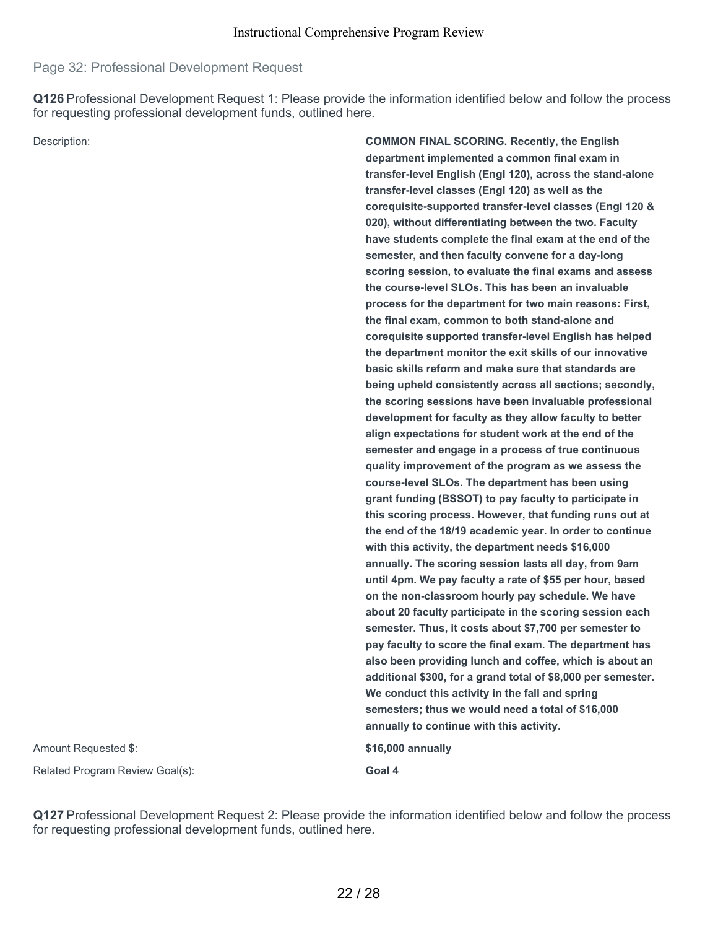# Page 32: Professional Development Request

**Q126** Professional Development Request 1: Please provide the information identified below and follow the process for requesting professional development funds, outlined here.

Description: **COMMON FINAL SCORING. Recently, the English department implemented a common final exam in transfer-level English (Engl 120), across the stand-alone transfer-level classes (Engl 120) as well as the corequisite-supported transfer-level classes (Engl 120 & 020), without differentiating between the two. Faculty have students complete the final exam at the end of the semester, and then faculty convene for a day-long scoring session, to evaluate the final exams and assess the course-level SLOs. This has been an invaluable process for the department for two main reasons: First, the final exam, common to both stand-alone and corequisite supported transfer-level English has helped the department monitor the exit skills of our innovative basic skills reform and make sure that standards are being upheld consistently across all sections; secondly, the scoring sessions have been invaluable professional development for faculty as they allow faculty to better align expectations for student work at the end of the semester and engage in a process of true continuous quality improvement of the program as we assess the course-level SLOs. The department has been using grant funding (BSSOT) to pay faculty to participate in this scoring process. However, that funding runs out at the end of the 18/19 academic year. In order to continue with this activity, the department needs \$16,000 annually. The scoring session lasts all day, from 9am until 4pm. We pay faculty a rate of \$55 per hour, based on the non-classroom hourly pay schedule. We have about 20 faculty participate in the scoring session each semester. Thus, it costs about \$7,700 per semester to pay faculty to score the final exam. The department has also been providing lunch and coffee, which is about an additional \$300, for a grand total of \$8,000 per semester. We conduct this activity in the fall and spring semesters; thus we would need a total of \$16,000 annually to continue with this activity.** Amount Requested \$: **\$16,000 annually** Related Program Review Goal(s): **Goal 4**

**Q127** Professional Development Request 2: Please provide the information identified below and follow the process for requesting professional development funds, outlined here.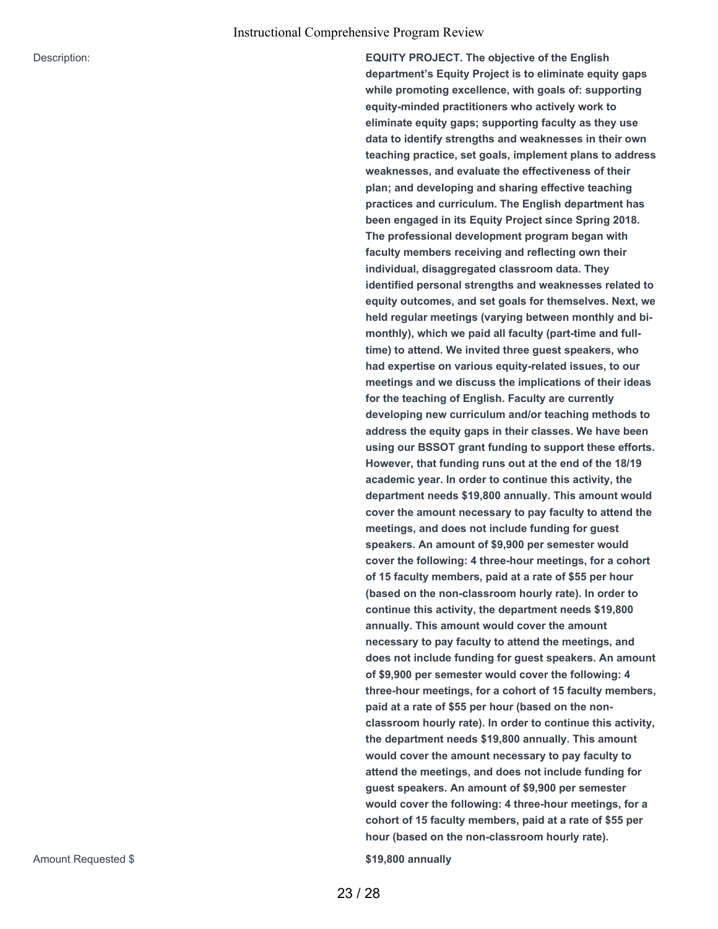Description: **EQUITY PROJECT. The objective of the English department's Equity Project is to eliminate equity gaps while promoting excellence, with goals of: supporting equity-minded practitioners who actively work to eliminate equity gaps; supporting faculty as they use data to identify strengths and weaknesses in their own teaching practice, set goals, implement plans to address weaknesses, and evaluate the effectiveness of their plan; and developing and sharing effective teaching practices and curriculum. The English department has been engaged in its Equity Project since Spring 2018. The professional development program began with faculty members receiving and reflecting own their individual, disaggregated classroom data. They identified personal strengths and weaknesses related to equity outcomes, and set goals for themselves. Next, we held regular meetings (varying between monthly and bimonthly), which we paid all faculty (part-time and fulltime) to attend. We invited three guest speakers, who had expertise on various equity-related issues, to our meetings and we discuss the implications of their ideas for the teaching of English. Faculty are currently developing new curriculum and/or teaching methods to address the equity gaps in their classes. We have been using our BSSOT grant funding to support these efforts. However, that funding runs out at the end of the 18/19 academic year. In order to continue this activity, the department needs \$19,800 annually. This amount would cover the amount necessary to pay faculty to attend the meetings, and does not include funding for guest speakers. An amount of \$9,900 per semester would cover the following: 4 three-hour meetings, for a cohort of 15 faculty members, paid at a rate of \$55 per hour (based on the non-classroom hourly rate). In order to continue this activity, the department needs \$19,800 annually. This amount would cover the amount necessary to pay faculty to attend the meetings, and does not include funding for guest speakers. An amount of \$9,900 per semester would cover the following: 4 three-hour meetings, for a cohort of 15 faculty members, paid at a rate of \$55 per hour (based on the nonclassroom hourly rate). In order to continue this activity, the department needs \$19,800 annually. This amount would cover the amount necessary to pay faculty to attend the meetings, and does not include funding for guest speakers. An amount of \$9,900 per semester would cover the following: 4 three-hour meetings, for a cohort of 15 faculty members, paid at a rate of \$55 per hour (based on the non-classroom hourly rate).**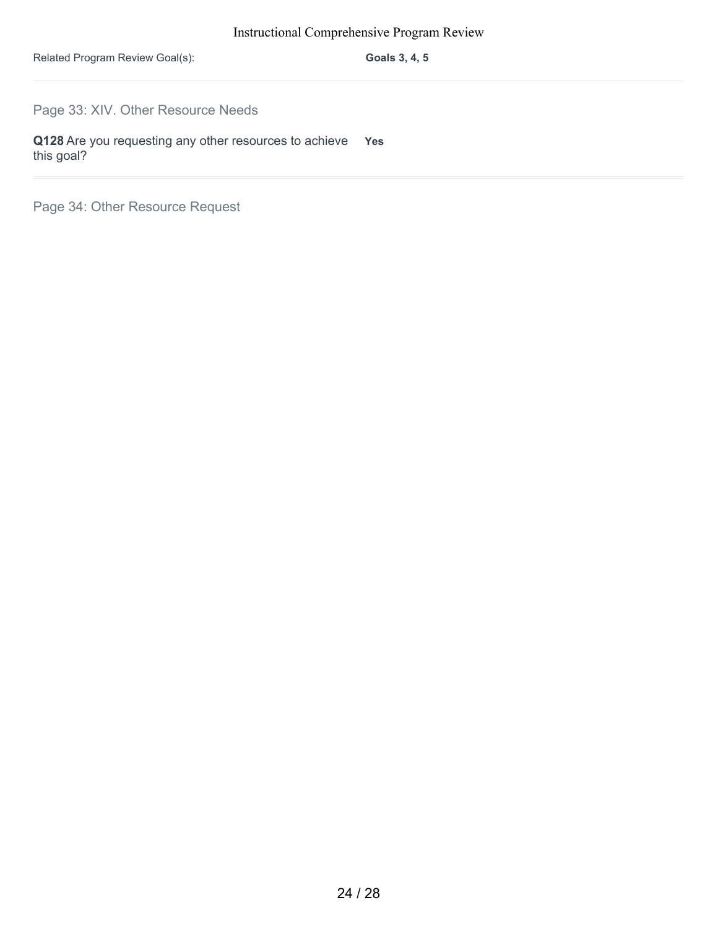Related Program Review Goal(s): **Goals 3, 4, 5**

Page 33: XIV. Other Resource Needs

**Q128** Are you requesting any other resources to achieve **Yes** this goal?

Page 34: Other Resource Request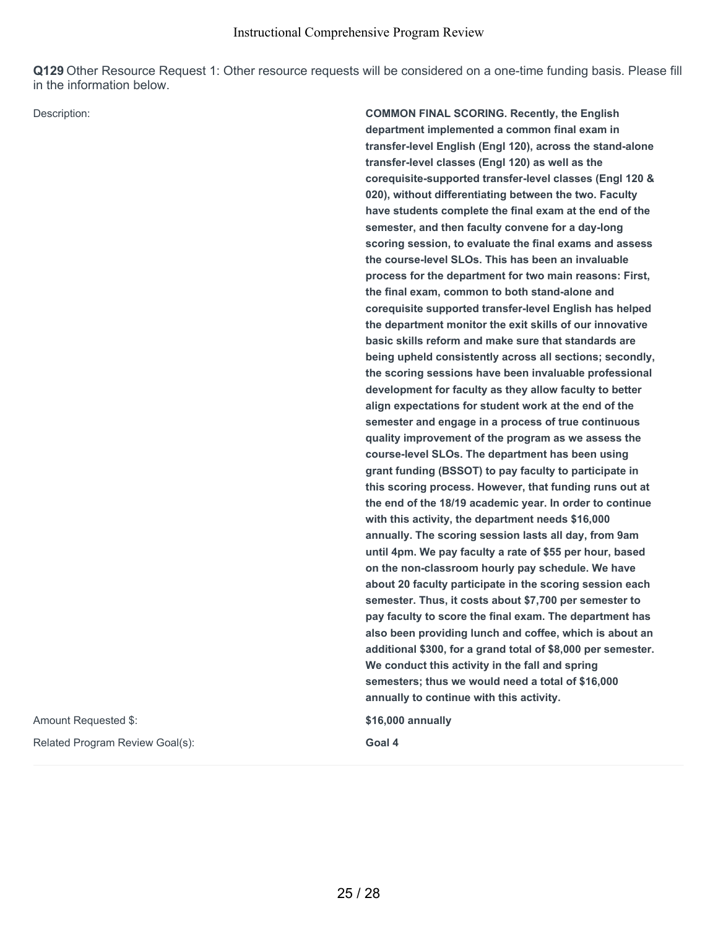**Q129** Other Resource Request 1: Other resource requests will be considered on a one-time funding basis. Please fill in the information below.

Amount Requested \$: **\$16,000 annually**

Related Program Review Goal(s): **Goal** 4

Description: **COMMON FINAL SCORING. Recently, the English department implemented a common final exam in transfer-level English (Engl 120), across the stand-alone transfer-level classes (Engl 120) as well as the corequisite-supported transfer-level classes (Engl 120 & 020), without differentiating between the two. Faculty have students complete the final exam at the end of the semester, and then faculty convene for a day-long scoring session, to evaluate the final exams and assess the course-level SLOs. This has been an invaluable process for the department for two main reasons: First, the final exam, common to both stand-alone and corequisite supported transfer-level English has helped the department monitor the exit skills of our innovative basic skills reform and make sure that standards are being upheld consistently across all sections; secondly, the scoring sessions have been invaluable professional development for faculty as they allow faculty to better align expectations for student work at the end of the semester and engage in a process of true continuous quality improvement of the program as we assess the course-level SLOs. The department has been using grant funding (BSSOT) to pay faculty to participate in this scoring process. However, that funding runs out at the end of the 18/19 academic year. In order to continue with this activity, the department needs \$16,000 annually. The scoring session lasts all day, from 9am until 4pm. We pay faculty a rate of \$55 per hour, based on the non-classroom hourly pay schedule. We have about 20 faculty participate in the scoring session each semester. Thus, it costs about \$7,700 per semester to pay faculty to score the final exam. The department has also been providing lunch and coffee, which is about an additional \$300, for a grand total of \$8,000 per semester. We conduct this activity in the fall and spring semesters; thus we would need a total of \$16,000 annually to continue with this activity.**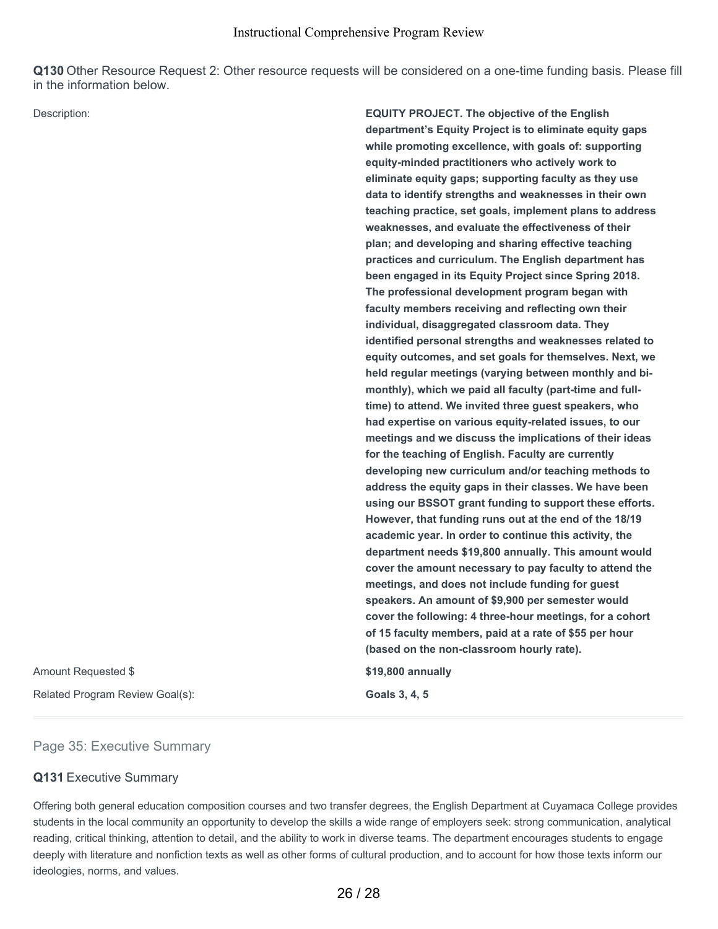**Q130** Other Resource Request 2: Other resource requests will be considered on a one-time funding basis. Please fill in the information below.

Description: **EQUITY PROJECT. The objective of the English**

Amount Requested \$ **\$19,800 annually** Related Program Review Goal(s): **Goals 3, 4, 5**

**department's Equity Project is to eliminate equity gaps while promoting excellence, with goals of: supporting equity-minded practitioners who actively work to eliminate equity gaps; supporting faculty as they use data to identify strengths and weaknesses in their own teaching practice, set goals, implement plans to address weaknesses, and evaluate the effectiveness of their plan; and developing and sharing effective teaching practices and curriculum. The English department has been engaged in its Equity Project since Spring 2018. The professional development program began with faculty members receiving and reflecting own their individual, disaggregated classroom data. They identified personal strengths and weaknesses related to equity outcomes, and set goals for themselves. Next, we held regular meetings (varying between monthly and bimonthly), which we paid all faculty (part-time and fulltime) to attend. We invited three guest speakers, who had expertise on various equity-related issues, to our meetings and we discuss the implications of their ideas for the teaching of English. Faculty are currently developing new curriculum and/or teaching methods to address the equity gaps in their classes. We have been using our BSSOT grant funding to support these efforts. However, that funding runs out at the end of the 18/19 academic year. In order to continue this activity, the department needs \$19,800 annually. This amount would cover the amount necessary to pay faculty to attend the meetings, and does not include funding for guest speakers. An amount of \$9,900 per semester would cover the following: 4 three-hour meetings, for a cohort of 15 faculty members, paid at a rate of \$55 per hour (based on the non-classroom hourly rate).**

#### Page 35: Executive Summary

#### **Q131** Executive Summary

Offering both general education composition courses and two transfer degrees, the English Department at Cuyamaca College provides students in the local community an opportunity to develop the skills a wide range of employers seek: strong communication, analytical reading, critical thinking, attention to detail, and the ability to work in diverse teams. The department encourages students to engage deeply with literature and nonfiction texts as well as other forms of cultural production, and to account for how those texts inform our ideologies, norms, and values.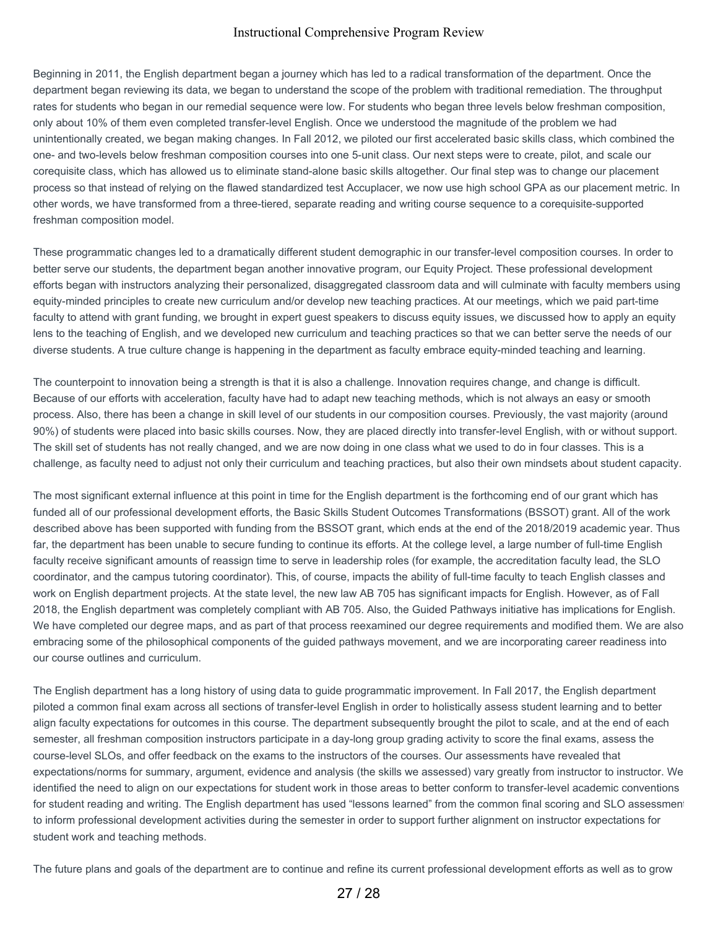Beginning in 2011, the English department began a journey which has led to a radical transformation of the department. Once the department began reviewing its data, we began to understand the scope of the problem with traditional remediation. The throughput rates for students who began in our remedial sequence were low. For students who began three levels below freshman composition, only about 10% of them even completed transfer-level English. Once we understood the magnitude of the problem we had unintentionally created, we began making changes. In Fall 2012, we piloted our first accelerated basic skills class, which combined the one- and two-levels below freshman composition courses into one 5-unit class. Our next steps were to create, pilot, and scale our corequisite class, which has allowed us to eliminate stand-alone basic skills altogether. Our final step was to change our placement process so that instead of relying on the flawed standardized test Accuplacer, we now use high school GPA as our placement metric. In other words, we have transformed from a three-tiered, separate reading and writing course sequence to a corequisite-supported freshman composition model.

These programmatic changes led to a dramatically different student demographic in our transfer-level composition courses. In order to better serve our students, the department began another innovative program, our Equity Project. These professional development efforts began with instructors analyzing their personalized, disaggregated classroom data and will culminate with faculty members using equity-minded principles to create new curriculum and/or develop new teaching practices. At our meetings, which we paid part-time faculty to attend with grant funding, we brought in expert guest speakers to discuss equity issues, we discussed how to apply an equity lens to the teaching of English, and we developed new curriculum and teaching practices so that we can better serve the needs of our diverse students. A true culture change is happening in the department as faculty embrace equity-minded teaching and learning.

The counterpoint to innovation being a strength is that it is also a challenge. Innovation requires change, and change is difficult. Because of our efforts with acceleration, faculty have had to adapt new teaching methods, which is not always an easy or smooth process. Also, there has been a change in skill level of our students in our composition courses. Previously, the vast majority (around 90%) of students were placed into basic skills courses. Now, they are placed directly into transfer-level English, with or without support. The skill set of students has not really changed, and we are now doing in one class what we used to do in four classes. This is a challenge, as faculty need to adjust not only their curriculum and teaching practices, but also their own mindsets about student capacity.

The most significant external influence at this point in time for the English department is the forthcoming end of our grant which has funded all of our professional development efforts, the Basic Skills Student Outcomes Transformations (BSSOT) grant. All of the work described above has been supported with funding from the BSSOT grant, which ends at the end of the 2018/2019 academic year. Thus far, the department has been unable to secure funding to continue its efforts. At the college level, a large number of full-time English faculty receive significant amounts of reassign time to serve in leadership roles (for example, the accreditation faculty lead, the SLO coordinator, and the campus tutoring coordinator). This, of course, impacts the ability of full-time faculty to teach English classes and work on English department projects. At the state level, the new law AB 705 has significant impacts for English. However, as of Fall 2018, the English department was completely compliant with AB 705. Also, the Guided Pathways initiative has implications for English. We have completed our degree maps, and as part of that process reexamined our degree requirements and modified them. We are also embracing some of the philosophical components of the guided pathways movement, and we are incorporating career readiness into our course outlines and curriculum.

The English department has a long history of using data to guide programmatic improvement. In Fall 2017, the English department piloted a common final exam across all sections of transfer-level English in order to holistically assess student learning and to better align faculty expectations for outcomes in this course. The department subsequently brought the pilot to scale, and at the end of each semester, all freshman composition instructors participate in a day-long group grading activity to score the final exams, assess the course-level SLOs, and offer feedback on the exams to the instructors of the courses. Our assessments have revealed that expectations/norms for summary, argument, evidence and analysis (the skills we assessed) vary greatly from instructor to instructor. We identified the need to align on our expectations for student work in those areas to better conform to transfer-level academic conventions for student reading and writing. The English department has used "lessons learned" from the common final scoring and SLO assessment to inform professional development activities during the semester in order to support further alignment on instructor expectations for student work and teaching methods.

The future plans and goals of the department are to continue and refine its current professional development efforts as well as to grow